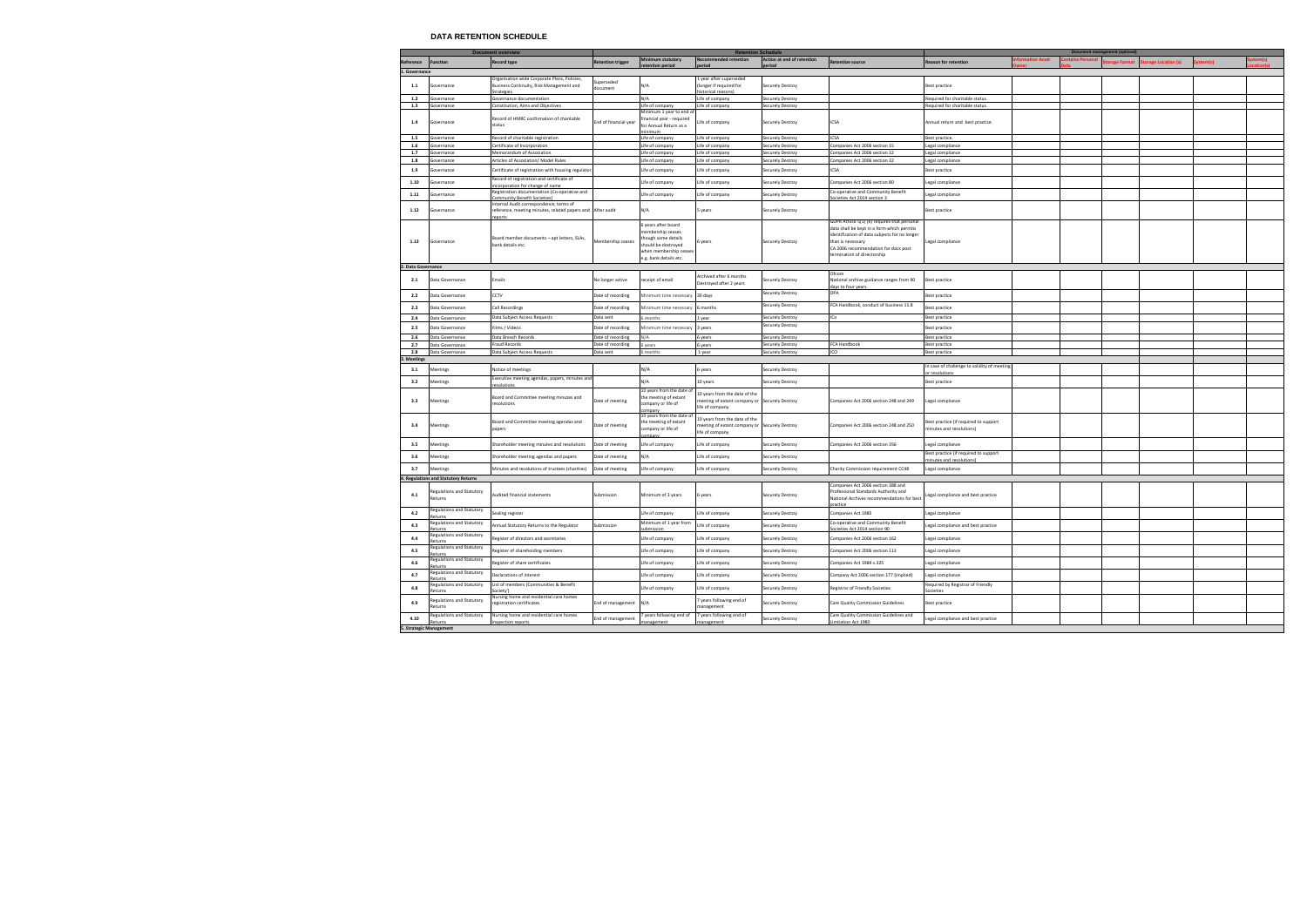## **DATA RETENTION SCHEDULE**

|                    | <b>Document overview</b>             |                                                                                                               | <b>Retention Schedule</b> |                                                                                                                                           |                                                                                                   | <b>Document management (optional)</b>       |                                                                                                                                                                                                                                        |                                                                   |          |               |               |                    |  |  |
|--------------------|--------------------------------------|---------------------------------------------------------------------------------------------------------------|---------------------------|-------------------------------------------------------------------------------------------------------------------------------------------|---------------------------------------------------------------------------------------------------|---------------------------------------------|----------------------------------------------------------------------------------------------------------------------------------------------------------------------------------------------------------------------------------------|-------------------------------------------------------------------|----------|---------------|---------------|--------------------|--|--|
| Reference          | <b>Function</b>                      | <b>Record type</b>                                                                                            | <b>Retention trigger</b>  | Minimum statutory                                                                                                                         | Recommended retention<br>eriod                                                                    | Action at end of retention<br>boirec        | <b>Retention source</b>                                                                                                                                                                                                                | <b>Reason for retention</b>                                       | on Asset | ntains Person | torage Format | orage Location (s) |  |  |
| 1. Governance      |                                      |                                                                                                               |                           | retention period                                                                                                                          |                                                                                                   |                                             |                                                                                                                                                                                                                                        |                                                                   |          |               |               |                    |  |  |
| 1.1                | iovernance                           | Organisation wide Corporate Plans, Policies,<br>Business Continuity, Risk Management and                      | iuperseded<br>document    | N/A                                                                                                                                       | 1 year after superseded<br>(longer if required for                                                | Securely Destroy                            |                                                                                                                                                                                                                                        | Best practice                                                     |          |               |               |                    |  |  |
| $1.2$              | iovernance                           | <b>Strategies</b>                                                                                             |                           | N/A                                                                                                                                       | istorical reasons                                                                                 |                                             |                                                                                                                                                                                                                                        |                                                                   |          |               |               |                    |  |  |
| 1.3                | iovernance                           | Governance documentation<br>Constitution, Aims and Objectives                                                 |                           | Life of company                                                                                                                           | Life of company<br>Life of company                                                                | <b>Securely Destroy</b><br>Securely Destroy |                                                                                                                                                                                                                                        | equired for charitable status.<br>equired for charitable status.  |          |               |               |                    |  |  |
| 1.4                | iovernance                           | Record of HMRC confirmation of charitable<br>status                                                           | End of financial year     | Minimum 1 year to end o<br>financial year - required<br>for Annual Return as a<br>inimum                                                  | Life of company                                                                                   | <b>Securely Destroy</b>                     | ICSA                                                                                                                                                                                                                                   | Annual return and best practice.                                  |          |               |               |                    |  |  |
| $1.5\,$            | iovernance                           | Record of charitable registration                                                                             |                           | Life of company                                                                                                                           | Life of company                                                                                   | <b>Securely Destroy</b>                     | ICSA                                                                                                                                                                                                                                   | Best practice.                                                    |          |               |               |                    |  |  |
| $1.6\,$            | iovernance                           | ertificate of Incorporation                                                                                   |                           | Life of company                                                                                                                           | Life of company                                                                                   | Securely Destroy                            | Companies Act 2006 section 15                                                                                                                                                                                                          | Legal compliance                                                  |          |               |               |                    |  |  |
| 1.7                | overnance                            | <b>Memorandum of Association</b>                                                                              |                           | Life of company                                                                                                                           | Life of company                                                                                   | Securely Destroy                            | ompanies Act 2006 section 32                                                                                                                                                                                                           | Legal compliance                                                  |          |               |               |                    |  |  |
| $1.8\,$            | iovernance                           | Articles of Association/ Model Rules                                                                          |                           | Life of company                                                                                                                           | Life of company                                                                                   | <b>Securely Destroy</b>                     | Companies Act 2006 section 32                                                                                                                                                                                                          | Legal compliance                                                  |          |               |               |                    |  |  |
| 1.9                | iovernance                           | ertificate of registration with housing regulato<br>Record of registration and certificate of                 |                           | Life of company                                                                                                                           | Life of company                                                                                   | Securely Destroy                            | CSA                                                                                                                                                                                                                                    | Best practice                                                     |          |               |               |                    |  |  |
| 1.10               | iovernance                           | corporation for change of name                                                                                |                           | Life of company                                                                                                                           | Life of company                                                                                   | Securely Destroy                            | ompanies Act 2006 section 80                                                                                                                                                                                                           | Legal compliance                                                  |          |               |               |                    |  |  |
| 1.11               | iovernance                           | Registration documentation (Co-operative and<br><b>Immunity Benefit Societies</b> )                           |                           | Life of company                                                                                                                           | Life of company                                                                                   | Securely Destroy                            | Co-operative and Community Benefit<br>ocieties Act 2014 section 3                                                                                                                                                                      | Legal compliance                                                  |          |               |               |                    |  |  |
| 1.12               | iovernance                           | nternal Audit correspondence, terms of<br>reference, meeting minutes, related papers and After audit<br>ports |                           | N/A                                                                                                                                       | 5 years                                                                                           | Securely Destroy                            |                                                                                                                                                                                                                                        | Best practice                                                     |          |               |               |                    |  |  |
| 1.13               | Governance                           | Board member documents - apt letters, SLAs,<br>bank details etc.                                              | Membership ceases         | 5 years after board<br>nembership ceases<br>hough some details<br>should be destroyed<br>when membership ceases<br>e.g. bank details etc. | years                                                                                             | <b>Securely Destroy</b>                     | GDPR Article 5(1) (e) requires that personal<br>data shall be kept in a form which permits<br>identification of data subjects for no longer<br>than is necessary<br>CA 2006 recommendation for docs post<br>ermination of directorship | Legal compliance                                                  |          |               |               |                    |  |  |
| 2. Data Governance |                                      |                                                                                                               |                           |                                                                                                                                           |                                                                                                   |                                             |                                                                                                                                                                                                                                        |                                                                   |          |               |               |                    |  |  |
| 2.1                | Data Governance                      | Emails                                                                                                        | No longer active          | receipt of email                                                                                                                          | Archived after 6 months<br>Destroyed after 2 years                                                | Securely Destroy                            | Ofcon<br>National archive guidance ranges from 90<br>lays to four years.                                                                                                                                                               | Best practice                                                     |          |               |               |                    |  |  |
| 2.2                | Data Governance                      | CTV:                                                                                                          | Date of recording         | dinimum time necessary                                                                                                                    | 30 days                                                                                           | Securely Destroy                            | DPA                                                                                                                                                                                                                                    | Best practice                                                     |          |               |               |                    |  |  |
| 2.3                | Data Governance                      | Call Recordings                                                                                               | Date of recording         | Ainimum time necessary                                                                                                                    | 6 months                                                                                          | Securely Destroy                            | FCA Handbook, conduct of business 11.8                                                                                                                                                                                                 | Best practice                                                     |          |               |               |                    |  |  |
| 2.4                | Data Governance                      | Data Subject Access Requests                                                                                  | Data sent                 | months                                                                                                                                    | Lyear                                                                                             | <b>Securely Destroy</b>                     | ICo                                                                                                                                                                                                                                    | Best practice                                                     |          |               |               |                    |  |  |
| 2.5                | Data Governance                      | ilms / Videos                                                                                                 | Date of recording         | Minimum time necessary                                                                                                                    | 3 years                                                                                           | Securely Destroy                            |                                                                                                                                                                                                                                        | Best practice                                                     |          |               |               |                    |  |  |
| 2.6                | Data Governance                      | Data Breach Records                                                                                           | Date of recording         | N/A                                                                                                                                       | years                                                                                             | Securely Destroy                            |                                                                                                                                                                                                                                        | Best practice                                                     |          |               |               |                    |  |  |
| 2.7                | Data Governance                      | raud Records                                                                                                  | Date of recording         | 6 years                                                                                                                                   | 6 years                                                                                           | Securely Destroy                            | FCA Handbook                                                                                                                                                                                                                           | Best practice                                                     |          |               |               |                    |  |  |
| 2.8                | Data Governance                      | Data Subject Access Requests                                                                                  | Data sent                 | 6 months                                                                                                                                  | 1 year                                                                                            | <b>Securely Destroy</b>                     | ICO                                                                                                                                                                                                                                    | Best practice                                                     |          |               |               |                    |  |  |
| 3. Meetings        |                                      |                                                                                                               |                           |                                                                                                                                           |                                                                                                   |                                             |                                                                                                                                                                                                                                        |                                                                   |          |               |               |                    |  |  |
| 3.1                | <b>Aeetings</b>                      | Notice of meetings                                                                                            |                           | N/A                                                                                                                                       | 6 years                                                                                           | Securely Destroy                            |                                                                                                                                                                                                                                        | In case of challenge to validity of meeting<br>r resolution       |          |               |               |                    |  |  |
| 3.2                | <b>Aeetings</b>                      | ixecutive meeting agendas, papers, minutes and<br>solutions                                                   |                           | N/A                                                                                                                                       | 10 years                                                                                          | <b>Securely Destroy</b>                     |                                                                                                                                                                                                                                        | Best practice                                                     |          |               |               |                    |  |  |
| 3.3                | Meetings                             | oard and Committee meeting minutes and<br>esolutions                                                          | Date of meeting           | 10 years from the date of<br>the meeting of extant<br>company or life of<br>mnan                                                          | 10 years from the date of the<br>neeting of extant company or Securely Destroy<br>life of company |                                             | Companies Act 2006 section 248 and 249                                                                                                                                                                                                 | Legal compliance                                                  |          |               |               |                    |  |  |
| 3.4                | Meetings                             | Board and Committee meeting agendas and<br>papers                                                             | Date of meeting           | 10 years from the date of<br>the meeting of extant<br>company or life of                                                                  | 10 years from the date of the<br>meeting of extant company or Securely Destroy<br>life of company |                                             | Companies Act 2006 section 248 and 250                                                                                                                                                                                                 | Best practice (if required to support<br>ninutes and resolutions) |          |               |               |                    |  |  |
| 3.5                | Meetings                             | Shareholder meeting minutes and resolutions                                                                   | Date of meeting           | Life of company                                                                                                                           | Life of company                                                                                   | <b>Securely Destroy</b>                     | Companies Act 2006 section 356                                                                                                                                                                                                         | Legal compliance                                                  |          |               |               |                    |  |  |
| 3.6                | <b>Aeetings</b>                      | hareholder meeting agendas and papers                                                                         | Date of meeting           | N/A                                                                                                                                       | Life of company                                                                                   | Securely Destroy                            |                                                                                                                                                                                                                                        | Best practice (if required to support                             |          |               |               |                    |  |  |
| 3.7                | <b>Aeetings</b>                      | Ainutes and resolutions of trustees (charities)                                                               | Date of meeting           | Life of company                                                                                                                           | Life of company                                                                                   | <b>Securely Destroy</b>                     | Charity Commission requirement CC48                                                                                                                                                                                                    | ninutes and resolutions)<br>Legal compliance                      |          |               |               |                    |  |  |
|                    | 4. Regulations and Statutory Returns |                                                                                                               |                           |                                                                                                                                           |                                                                                                   |                                             |                                                                                                                                                                                                                                        |                                                                   |          |               |               |                    |  |  |
| 4.1                | Regulations and Statutory<br>Returns | Audited financial statements                                                                                  | Submission                | Minimum of 3 years                                                                                                                        | 6 years                                                                                           | <b>Securely Destroy</b>                     | Companies Act 2006 section 388 and<br>Professional Standards Authority and<br>National Archives recommendations for best                                                                                                               | Legal compliance and best practice                                |          |               |               |                    |  |  |
| 4.2                | Regulations and Statutory            | ealing register                                                                                               |                           | Life of company                                                                                                                           | Life of company                                                                                   | <b>Securely Destroy</b>                     | Companies Act 1985                                                                                                                                                                                                                     | Legal compliance                                                  |          |               |               |                    |  |  |
| 4.3                | egulations and Statutory<br>eturns   | Annual Statutory Returns to the Regulator                                                                     | ubmission                 | Minimum of 1 year from<br>ıbmission                                                                                                       | Life of company                                                                                   | Securely Destroy                            | Co-operative and Community Benefit<br>Societies Act 2014 section 90                                                                                                                                                                    | Legal compliance and best practice                                |          |               |               |                    |  |  |
| 4.4                | Regulations and Statutory            | Register of directors and secretaries                                                                         |                           | Life of company                                                                                                                           | Life of company                                                                                   | Securely Destroy                            | Companies Act 2006 section 162                                                                                                                                                                                                         | Legal compliance                                                  |          |               |               |                    |  |  |
| 4.5                | egulations and Statutory<br>eturns   | Register of shareholding members                                                                              |                           | Life of company                                                                                                                           | Life of company                                                                                   | <b>Securely Destroy</b>                     | ompanies Act 2006 section 113                                                                                                                                                                                                          | Legal compliance                                                  |          |               |               |                    |  |  |
| 4.6                | Regulations and Statutory<br>eturns  | egister of share certificates                                                                                 |                           | Life of company                                                                                                                           | Life of company                                                                                   | <b>Securely Destroy</b>                     | Companies Act 1984 s.325                                                                                                                                                                                                               | Legal compliance                                                  |          |               |               |                    |  |  |
| 4.7                | egulations and Statutory<br>eturns   | eclarations of interest                                                                                       |                           | Life of company                                                                                                                           | Life of company                                                                                   | <b>Securely Destroy</b>                     | ompany Act 2006 section 177 (implied)                                                                                                                                                                                                  | Legal compliance                                                  |          |               |               |                    |  |  |
| 4.8                | egulations and Statutory<br>eturns   | ist of members (Communities & Benefit<br>ociety')                                                             |                           | Life of company                                                                                                                           | Life of company                                                                                   | <b>Securely Destroy</b>                     | Registrar of Friendly Societies                                                                                                                                                                                                        | Required by Registrar of Friendly<br>ocieties                     |          |               |               |                    |  |  |
| 4.9                | Regulations and Statutory<br>Returns | Nursing home and residential care homes<br>egistration certificates                                           | End of management         | N/A                                                                                                                                       | 7 years following end of<br>management                                                            | Securely Destroy                            | Care Quality Commission Guidelines                                                                                                                                                                                                     | Best practice                                                     |          |               |               |                    |  |  |
| 4.10               | Regulations and Statutory<br>eturns  | Nursing home and residential care homes<br>spection reports                                                   | End of management         | 7 years following end of<br>nanagement                                                                                                    | 7 years following end of<br>anagement                                                             | Securely Destroy                            | Care Quality Commission Guidelines and<br>mitation Act 1980                                                                                                                                                                            | Legal compliance and best practice                                |          |               |               |                    |  |  |
|                    | 5. Strategic Management              |                                                                                                               |                           |                                                                                                                                           |                                                                                                   |                                             |                                                                                                                                                                                                                                        |                                                                   |          |               |               |                    |  |  |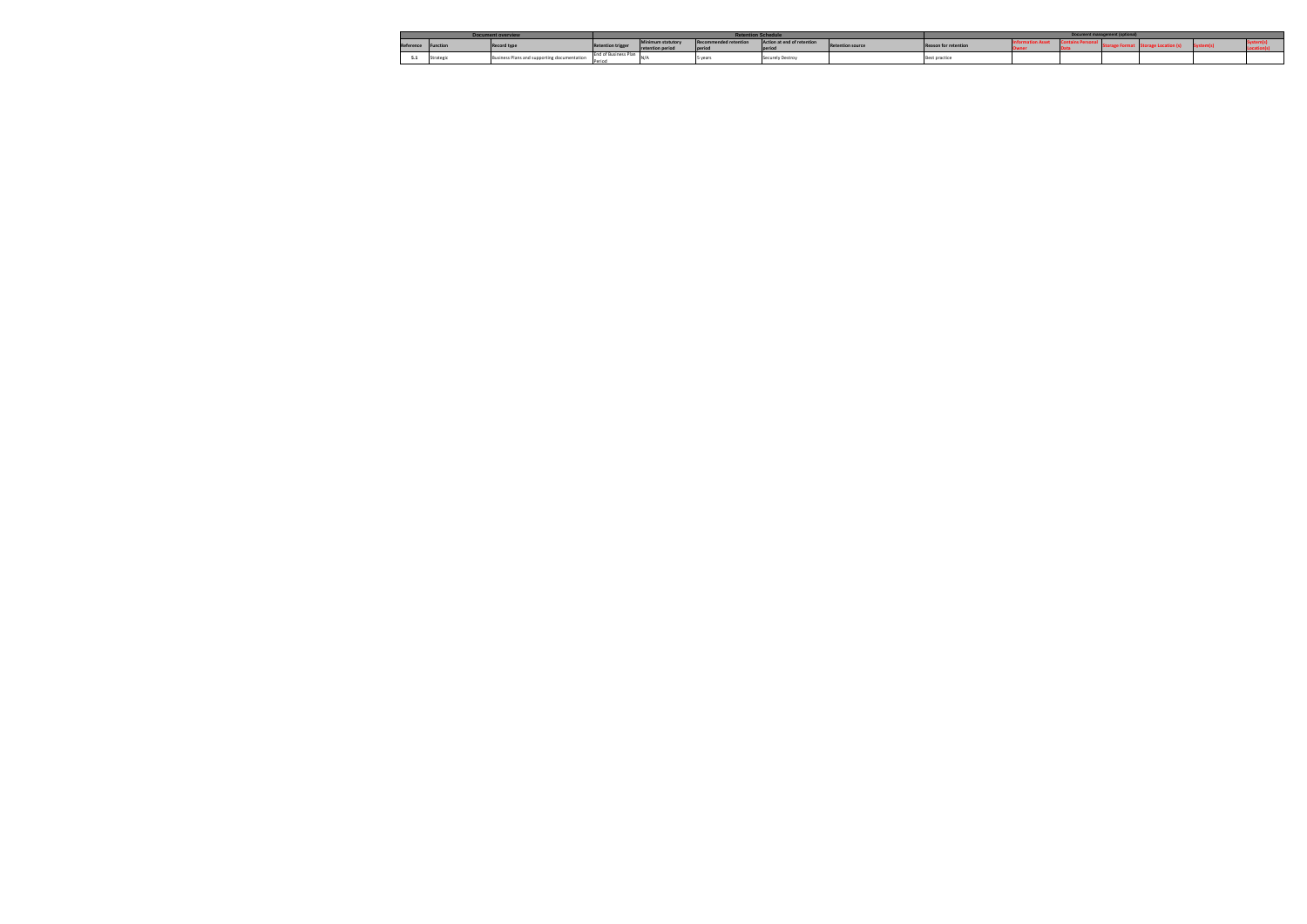|                    |           | <b>Document overview</b>                    | <b>Retention Schedul</b> |                |                              |                                                       |                             | <b>Document management (optiona</b> |  |  |  |  |  |  |
|--------------------|-----------|---------------------------------------------|--------------------------|----------------|------------------------------|-------------------------------------------------------|-----------------------------|-------------------------------------|--|--|--|--|--|--|
| Reference Function |           | <b>Record type</b>                          | <b>Retention trigger</b> | amum statutory | <b>Recommended retention</b> | Action at end of retention<br><b>Retention source</b> | <b>Reason for retention</b> |                                     |  |  |  |  |  |  |
|                    |           |                                             |                          |                | period                       |                                                       |                             |                                     |  |  |  |  |  |  |
|                    | Strategio | Business Plans and supporting documentation | End of Business Plan     |                | 5 years                      | Securely Destroy                                      |                             | <b>Best practice</b>                |  |  |  |  |  |  |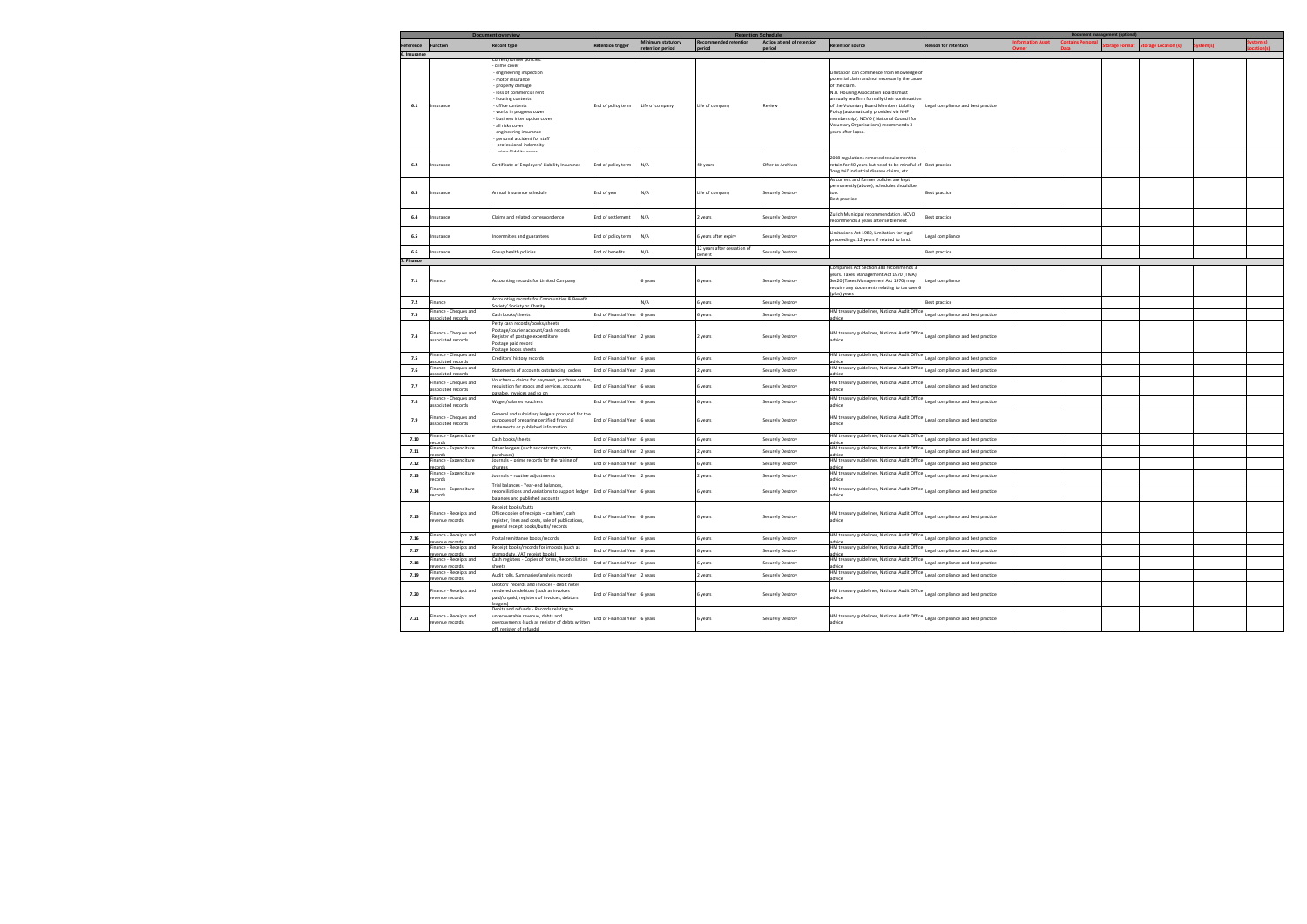|              |                                                            | <b>Document overview</b>                                                                                                                                                                                                                                                                                     |                               | linimum statutory | <b>Retention Schedule</b>   |                            |                                                                                                                                                                                                                                                                                                                                                                                                     |                                    |  | Document management (optional) |                    |  |
|--------------|------------------------------------------------------------|--------------------------------------------------------------------------------------------------------------------------------------------------------------------------------------------------------------------------------------------------------------------------------------------------------------|-------------------------------|-------------------|-----------------------------|----------------------------|-----------------------------------------------------------------------------------------------------------------------------------------------------------------------------------------------------------------------------------------------------------------------------------------------------------------------------------------------------------------------------------------------------|------------------------------------|--|--------------------------------|--------------------|--|
| Reference    | <b>Function</b>                                            | <b>Record type</b>                                                                                                                                                                                                                                                                                           | <b>Retention trigger</b>      |                   | ecommended retention        | Action at end of retention | <b>Retention source</b>                                                                                                                                                                                                                                                                                                                                                                             | <b>Reason for retention</b>        |  | <b>prage Format</b>            | orage Location (s) |  |
| 6. Insurance |                                                            |                                                                                                                                                                                                                                                                                                              |                               |                   |                             |                            |                                                                                                                                                                                                                                                                                                                                                                                                     |                                    |  |                                |                    |  |
| 6.1          | Insurance                                                  | crime cover<br>engineering inspection<br>motor insurance<br>property damage<br>loss of commercial rent<br>housing contents<br>office contents<br>works in progress cover<br>business interruption cover<br>all risks cover<br>engineering insurance<br>personal accident for staff<br>professional indemnity | End of policy term            | Life of company   | Life of company             | Review                     | Limitation can commence from knowledge of<br>potential claim and not necessarily the cause<br>of the claim.<br>N.B. Housing Association Boards must<br>innually reaffirm formally their continuation<br>of the Voluntary Board Members Liability<br>Policy (automatically provided via NHF<br>nembership). NCVO (National Council for<br>Voluntary Organisations) recommends 3<br>ears after lapse. | Legal compliance and best practice |  |                                |                    |  |
| 6.2          | nsurance                                                   | Certificate of Employers' Liability Insurance                                                                                                                                                                                                                                                                | End of policy term            | N/A               | 40 years                    | Offer to Archives          | 2008 regulations removed requirement to<br>retain for 40 years but need to be mindful of Best practice<br>long tail' industrial disease claims, etc.                                                                                                                                                                                                                                                |                                    |  |                                |                    |  |
| 6.3          | Insurance                                                  | Annual Insurance schedule                                                                                                                                                                                                                                                                                    | End of year                   | N/A               | Life of company             | <b>Securely Destroy</b>    | As current and former policies are kept<br>permanently (above), schedules should be<br>too.<br>Best practice                                                                                                                                                                                                                                                                                        | Best practice                      |  |                                |                    |  |
| 6.4          | nsurance                                                   | Claims and related correspondence                                                                                                                                                                                                                                                                            | End of settlement             | N/A               | 2 years                     | Securely Destroy           | Zurich Municipal recommendation. NCVO<br>recommends 3 years after settlement                                                                                                                                                                                                                                                                                                                        | Best practice                      |  |                                |                    |  |
| 6.5          | nsurance                                                   | ndemnities and guarantees                                                                                                                                                                                                                                                                                    | End of policy term            | N/A               | 6 years after expiry        | Securely Destroy           | Limitations Act 1980, Limitation for legal<br>proceedings. 12 years if related to land.                                                                                                                                                                                                                                                                                                             | Legal compliance                   |  |                                |                    |  |
| 6.6          | nsurance                                                   | Group health policies                                                                                                                                                                                                                                                                                        | End of benefits               | N/A               | 12 years after cessation of | Securely Destroy           |                                                                                                                                                                                                                                                                                                                                                                                                     | Best practice                      |  |                                |                    |  |
| Finance      |                                                            |                                                                                                                                                                                                                                                                                                              |                               |                   | enefit                      |                            |                                                                                                                                                                                                                                                                                                                                                                                                     |                                    |  |                                |                    |  |
|              |                                                            |                                                                                                                                                                                                                                                                                                              |                               |                   |                             |                            | Companies Act Section 388 recommends 3                                                                                                                                                                                                                                                                                                                                                              |                                    |  |                                |                    |  |
| 7.1          | Finance                                                    | Accounting records for Limited Company                                                                                                                                                                                                                                                                       |                               | 6 years           | 6 years                     | <b>Securely Destroy</b>    | years. Taxes Management Act 1970 (TMA)<br>Sec20 (Taxes Management Act 1970) may<br>require any documents relating to tax over 6<br>plus) vears                                                                                                                                                                                                                                                      | Legal compliance                   |  |                                |                    |  |
| 7.2          | inance                                                     | Accounting records for Communities & Benefit                                                                                                                                                                                                                                                                 |                               | N/A               | 5 years                     | Securely Destroy           |                                                                                                                                                                                                                                                                                                                                                                                                     | Best practice                      |  |                                |                    |  |
| 7.3          | inance - Cheques and<br>sociated records                   | ociety' Society or Charity<br>Cash books/sheets                                                                                                                                                                                                                                                              | End of Financial Year         | 6 years           | 5 years                     | Securely Destroy           | HM treasury guidelines, National Audit Office                                                                                                                                                                                                                                                                                                                                                       | legal compliance and best practice |  |                                |                    |  |
| 7.4          | inance - Cheques and<br>ssociated records                  | Petty cash records/books/sheets<br>Postage/courier account/cash records<br>Register of postage expenditure<br>Postage paid record<br>ostage books sheet                                                                                                                                                      | End of Financial Year 2 years |                   | 2 years                     | <b>Securely Destroy</b>    | HM treasury guidelines, National Audit Office<br>advice                                                                                                                                                                                                                                                                                                                                             | Legal compliance and best practice |  |                                |                    |  |
| 7.5          | inance - Cheques and                                       | Creditors' history records                                                                                                                                                                                                                                                                                   | End of Financial Year         | s years           | 5 years                     | Securely Destroy           | HM treasury guidelines, National Audit Office                                                                                                                                                                                                                                                                                                                                                       | egal compliance and best practice  |  |                                |                    |  |
| 7.6          | ociated records<br>inance - Cheques and<br>ociated records | Statements of accounts outstanding orders                                                                                                                                                                                                                                                                    | End of Financial Year         | 2 years           | 2 years                     | Securely Destroy           | HM treasury guidelines, National Audit Office<br>ıdvice                                                                                                                                                                                                                                                                                                                                             | Legal compliance and best practice |  |                                |                    |  |
| 7.7          | inance - Cheques and<br>ssociated records                  | Vouchers - claims for payment, purchase order:<br>requisition for goods and services, accounts<br>ayable, invoices and so on                                                                                                                                                                                 | End of Financial Year         | 6 years           | 6 years                     | Securely Destroy           | HM treasury guidelines, National Audit Office<br>advice                                                                                                                                                                                                                                                                                                                                             | legal compliance and best practice |  |                                |                    |  |
| 7.8          | inance - Cheques and<br>ssociated records                  | Vages/salaries vouchers                                                                                                                                                                                                                                                                                      | End of Financial Year         | 6 years           | 6 years                     | Securely Destroy           | HM treasury guidelines, National Audit Office<br>dvice                                                                                                                                                                                                                                                                                                                                              | legal compliance and best practice |  |                                |                    |  |
| 7.9          | inance - Cheques and<br>ssociated records                  | ieneral and subsidiary ledgers produced for the<br>urposes of preparing certified financial<br>tatements or published information                                                                                                                                                                            | End of Financial Year 6 years |                   | 6 years                     | <b>Securely Destroy</b>    | HM treasury guidelines, National Audit Office<br>advice                                                                                                                                                                                                                                                                                                                                             | Legal compliance and best practice |  |                                |                    |  |
| 7.10         | inance - Expenditure                                       | Cash books/sheets                                                                                                                                                                                                                                                                                            | End of Financial Year         | 6 years           | 5 years                     | Securely Destroy           | HM treasury guidelines, National Audit Office<br>ıdvice                                                                                                                                                                                                                                                                                                                                             | legal compliance and best practice |  |                                |                    |  |
| 7.11         | inance - Expenditure                                       | Other ledgers (such as contracts, costs,<br>urchases)                                                                                                                                                                                                                                                        | End of Financial Year         | 2 years           | 2 years                     | Securely Destroy           | HM treasury guidelines, National Audit Office<br>dvice                                                                                                                                                                                                                                                                                                                                              | Legal compliance and best practice |  |                                |                    |  |
| 7.12         | nance - Expenditure                                        | Journals - prime records for the raising of<br>arges                                                                                                                                                                                                                                                         | End of Financial Year         | years             | 5 years                     | Securely Destroy           | HM treasury guidelines, National Audit Office                                                                                                                                                                                                                                                                                                                                                       | Legal compliance and best practice |  |                                |                    |  |
| 7.13         | inance - Expenditure<br>cords                              | Journals - routine adjustments                                                                                                                                                                                                                                                                               | End of Financial Year         | 2 years           | 2 years                     | Securely Destroy           | HM treasury guidelines, National Audit Office<br>advice                                                                                                                                                                                                                                                                                                                                             | Legal compliance and best practice |  |                                |                    |  |
| 7.14         | inance - Expenditure<br>ecords                             | Trial balances - Year-end balances,<br>reconciliations and variations to support ledger<br>alances and published accounts                                                                                                                                                                                    | End of Financial Year         | 6 years           | 6 years                     | <b>Securely Destroy</b>    | HM treasury guidelines, National Audit Office<br>advice                                                                                                                                                                                                                                                                                                                                             | Legal compliance and best practice |  |                                |                    |  |
| 7.15         | inance - Receipts and<br>evenue records                    | eceipt books/butts<br>Office copies of receipts - cashiers', cash<br>register, fines and costs, sale of publications,<br>general receipt books/butts/ records                                                                                                                                                | End of Financial Year 6 years |                   | 6 years                     | Securely Destroy           | HM treasury guidelines, National Audit Office<br>advice                                                                                                                                                                                                                                                                                                                                             | Legal compliance and best practice |  |                                |                    |  |
| 7.16         | inance - Receipts and<br>evenue records                    | ostal remittance books/records                                                                                                                                                                                                                                                                               | End of Financial Year         | 6 years           | 6 years                     | Securely Destroy           | HM treasury guidelines, National Audit Office<br>advice                                                                                                                                                                                                                                                                                                                                             | Legal compliance and best practice |  |                                |                    |  |
| 7.17         | Finance - Receipts and<br>venue records                    | Receipt books/records for imposts (such as<br>tamp duty, VAT receipt books)                                                                                                                                                                                                                                  | End of Financial Year         | 6 years           | 5 years                     | Securely Destroy           | HM treasury guidelines, National Audit Offic<br>dvice                                                                                                                                                                                                                                                                                                                                               | Legal compliance and best practice |  |                                |                    |  |
| 7.18         | inance - Receipts and<br>evenue records                    | Cash registers - Copies of forms, Reconciliation<br>heets                                                                                                                                                                                                                                                    | <b>End of Financial Year</b>  | 6 years           | 6 years                     | Securely Destroy           | HM treasury guidelines, National Audit Office<br>dvice                                                                                                                                                                                                                                                                                                                                              | Legal compliance and best practice |  |                                |                    |  |
| 7.19         | inance - Receipts and<br>enue record:                      | Audit rolls, Summaries/analysis records                                                                                                                                                                                                                                                                      | End of Financial Year         | years             | 2 years                     | Securely Destroy           | HM treasury guidelines, National Audit Office                                                                                                                                                                                                                                                                                                                                                       | egal compliance and best practice  |  |                                |                    |  |
| 7.20         | inance - Receipts and<br>evenue records                    | Debtors' records and invoices - debit notes<br>rendered on debtors (such as invoices<br>paid/unpaid, registers of invoices, debtors<br>edgers)                                                                                                                                                               | End of Financial Year 6 years |                   | 6 years                     | <b>Securely Destroy</b>    | HM treasury guidelines, National Audit Office<br>advice                                                                                                                                                                                                                                                                                                                                             | Legal compliance and best practice |  |                                |                    |  |
| 7.21         | inance - Receipts and<br>evenue records                    | Debits and refunds - Records relating to<br>unrecoverable revenue, debts and<br>overpayments (such as register of debts written<br>ff. register of refunds)                                                                                                                                                  | End of Financial Year 6 years |                   | 6 years                     | Securely Destroy           | HM treasury guidelines, National Audit Office<br>advice                                                                                                                                                                                                                                                                                                                                             | Legal compliance and best practice |  |                                |                    |  |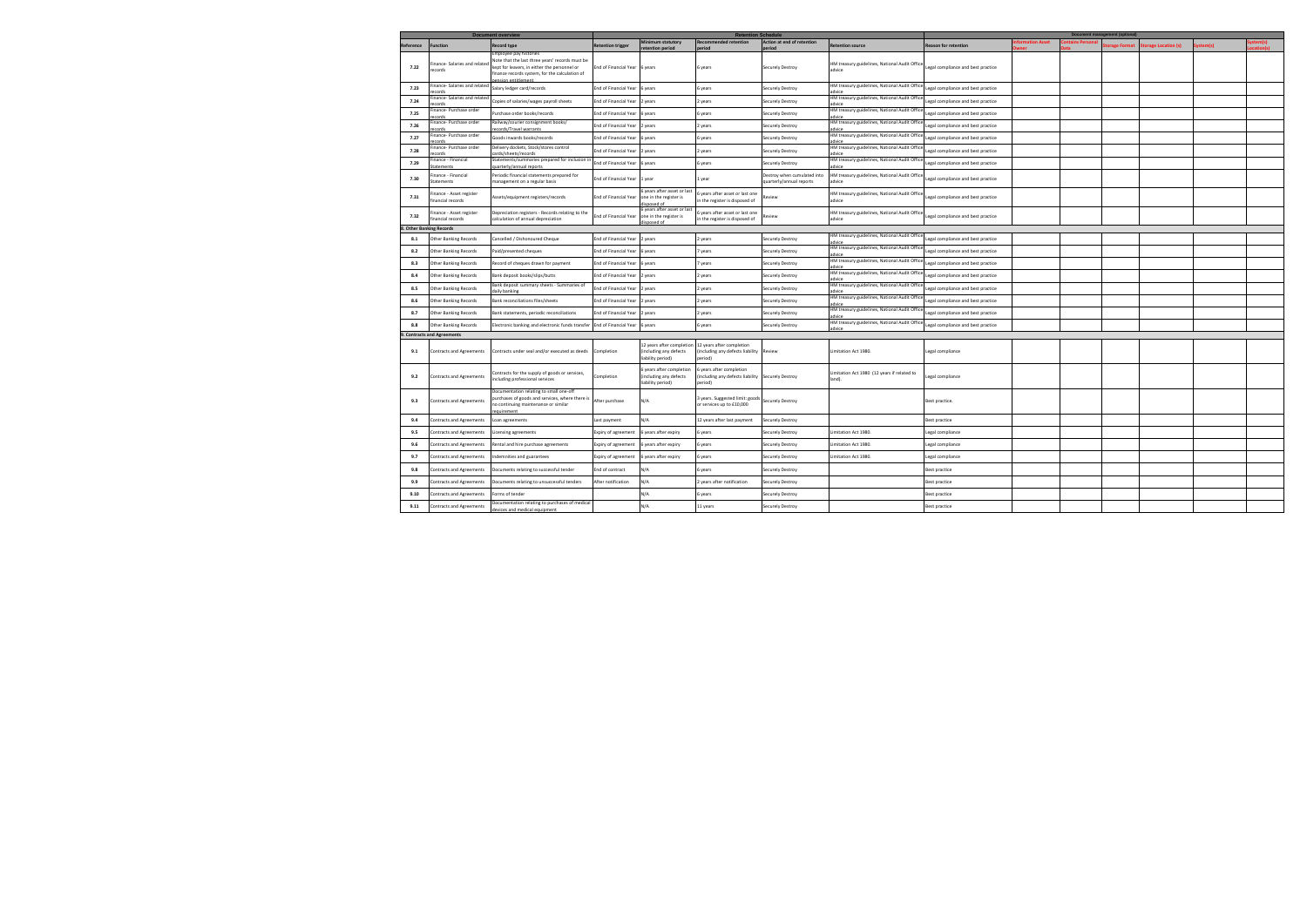|           |                                             | <b>Document overview</b>                                                                                                                                                    |                          |                                                                        | <b>Document manag</b><br>nent (optional)                                                 |                                                         |                                                         |                                    |              |                      |              |                     |  |  |
|-----------|---------------------------------------------|-----------------------------------------------------------------------------------------------------------------------------------------------------------------------------|--------------------------|------------------------------------------------------------------------|------------------------------------------------------------------------------------------|---------------------------------------------------------|---------------------------------------------------------|------------------------------------|--------------|----------------------|--------------|---------------------|--|--|
| Reference | unction                                     | <b>Record type</b>                                                                                                                                                          | <b>Retention trigger</b> | Minimum statutory                                                      | <b>Recommended retention</b>                                                             | Action at end of retention                              | <b>Retention source</b>                                 | <b>Reason for retention</b>        | mation Asset | <b>Itains Person</b> | orage Format | torage Location (s) |  |  |
| 7.22      | Finance- Salaries and related<br>records    | Emplovee pay histories<br>Note that the last three years' records must be<br>kept for leavers, in either the personnel or<br>finance records system, for the calculation of | End of Financial Year    | 6 years                                                                | 6 years                                                                                  | Securely Destroy                                        | HM treasury guidelines, National Audit Office<br>advice | Legal compliance and best practice |              |                      |              |                     |  |  |
| 7.23      | inance- Salaries and related                | Salary ledger card/records                                                                                                                                                  | End of Financial Year    | 6 years                                                                | s years                                                                                  | Securely Destroy                                        | HM treasury guidelines, National Audit Offic            | egal compliance and best practice  |              |                      |              |                     |  |  |
| 7.24      | inance- Salaries and related<br>ecords      | Copies of salaries/wages payroll sheets                                                                                                                                     | End of Financial Year    | 2 years                                                                | years                                                                                    | Securely Destroy                                        | HM treasury guidelines, National Audit Office<br>advice | Legal compliance and best practice |              |                      |              |                     |  |  |
| 7.25      | inance- Purchase order                      | Purchase order books/records                                                                                                                                                | End of Financial Year    | 6 years                                                                | s years                                                                                  | Securely Destroy                                        | HM treasury guidelines, National Audit Offic<br>advice  | Legal compliance and best practice |              |                      |              |                     |  |  |
| 7.26      | inance- Purchase order<br>cords             | Railway/courier consignment books/<br>ecords/Travel warrants                                                                                                                | End of Financial Year    | 2 years                                                                | years                                                                                    | Securely Destroy                                        | HM treasury guidelines, National Audit Offic<br>advice  | egal compliance and best practice  |              |                      |              |                     |  |  |
| 7.27      | inance- Purchase order                      | Goods inwards books/records                                                                                                                                                 | End of Financial Year    | 6 years                                                                | 5 years                                                                                  | Securely Destroy                                        | HM treasury guidelines, National Audit Offic            | egal compliance and best practice  |              |                      |              |                     |  |  |
| 7.28      | inance- Purchase order<br>cords             | Delivery dockets, Stock/stores control<br>irds/sheets/record:                                                                                                               | End of Financial Year    | 2 years                                                                | vears                                                                                    | Securely Destroy                                        | HM treasury guidelines, National Audit Offic<br>advice  | Legal compliance and best practice |              |                      |              |                     |  |  |
| 7.29      | inance - Financial<br>tatements             | Statements/summaries prepared for inclusion i<br>uarterly/annual reports                                                                                                    | End of Financial Year    | 6 years                                                                | s years                                                                                  | Securely Destroy                                        | HM treasury guidelines, National Audit Offic<br>advice  | Legal compliance and best practice |              |                      |              |                     |  |  |
| 7.30      | inance - Financial<br>Statements            | Periodic financial statements prepared for<br>management on a regular basis                                                                                                 | End of Financial Year    | 1 year                                                                 | l year                                                                                   | Destroy when cumulated into<br>quarterly/annual reports | HM treasury guidelines, National Audit Offic<br>advice  | Legal compliance and best practice |              |                      |              |                     |  |  |
| 7.31      | nance - Asset register<br>nancial records   | Assets/equipment registers/records                                                                                                                                          | End of Financial Year    | years after asset or last<br>one in the register is<br>isnosed of      | years after asset or last one<br>n the register is disposed of                           | <b>Review</b>                                           | HM treasury guidelines, National Audit Offic<br>advice  | Legal compliance and best practice |              |                      |              |                     |  |  |
| 7.32      | inance - Asset register<br>inancial records | Depreciation registers - Records relating to the<br>calculation of annual depreciation                                                                                      | End of Financial Year    | 6 years after asset or last<br>one in the register is<br>ho hezorizik  | years after asset or last one<br>n the register is disposed of                           | Review                                                  | HM treasury guidelines, National Audit Offic<br>advice  | Legal compliance and best practice |              |                      |              |                     |  |  |
|           | <b>Other Banking Records</b>                |                                                                                                                                                                             |                          |                                                                        |                                                                                          |                                                         |                                                         |                                    |              |                      |              |                     |  |  |
| 8.1       | Other Banking Records                       | Cancelled / Dishonoured Cheque                                                                                                                                              | End of Financial Year    | 2 years                                                                | 2 years                                                                                  | Securely Destroy                                        | HM treasury guidelines, National Audit Offic            | egal compliance and best practice  |              |                      |              |                     |  |  |
| 8.2       | Other Banking Records                       | Paid/presented cheques                                                                                                                                                      | End of Financial Year    | 6 years                                                                | years                                                                                    | Securely Destroy                                        | HM treasury guidelines, National Audit Offic            | egal compliance and best practice  |              |                      |              |                     |  |  |
| 8.3       | Other Banking Records                       | Record of cheques drawn for payment                                                                                                                                         | End of Financial Year    | 6 years                                                                | vears                                                                                    | Securely Destroy                                        | HM treasury guidelines, National Audit Offic<br>advice  | egal compliance and best practice  |              |                      |              |                     |  |  |
| 8.4       | Other Banking Records                       | Bank deposit books/slips/butts                                                                                                                                              | End of Financial Year    | 2 years                                                                | 2 years                                                                                  | Securely Destroy                                        | HM treasury guidelines, National Audit Offic<br>advice  | egal compliance and best practice  |              |                      |              |                     |  |  |
| 8.5       | Other Banking Records                       | Bank deposit summary sheets - Summaries of<br>aily banking                                                                                                                  | End of Financial Year    | 2 years                                                                | years                                                                                    | Securely Destroy                                        | HM treasury guidelines, National Audit Offic<br>advice  | egal compliance and best practice  |              |                      |              |                     |  |  |
| 8.6       | Other Banking Records                       | <b>Bank reconciliations files/sheets</b>                                                                                                                                    | End of Financial Year    | 2 years                                                                | years                                                                                    | Securely Destroy                                        | HM treasury guidelines, National Audit Offic<br>advice  | egal compliance and best practice  |              |                      |              |                     |  |  |
| 8.7       | Other Banking Records                       | Bank statements, periodic reconciliations                                                                                                                                   | End of Financial Year    | 2 years                                                                | years                                                                                    | Securely Destroy                                        | HM treasury guidelines, National Audit Offic<br>advice  | egal compliance and best practice  |              |                      |              |                     |  |  |
| 8.8       | <b>Other Banking Records</b>                | Electronic banking and electronic funds transfer                                                                                                                            | End of Financial Year    | 6 years                                                                | 6 years                                                                                  | Securely Destroy                                        | HM treasury guidelines, National Audit Offic<br>advice  | egal compliance and best practice  |              |                      |              |                     |  |  |
|           | <b>Contracts and Agreements</b>             |                                                                                                                                                                             |                          |                                                                        |                                                                                          |                                                         |                                                         |                                    |              |                      |              |                     |  |  |
| 9.1       | <b>Contracts and Agreements</b>             | Contracts under seal and/or executed as deeds                                                                                                                               | Completion               | 12 years after completic<br>including any defects<br>liability period) | 12 years after completion<br>including any defects liability<br>eriod)                   | Review                                                  | Limitation Act 1980.                                    | Legal compliance                   |              |                      |              |                     |  |  |
| 9.2       | <b>Contracts and Agreements</b>             | Contracts for the supply of goods or services,<br>including professional services                                                                                           | Completion               | years after completion<br>(including any defects<br>liability period)  | 5 years after completion<br>(including any defects liability Securely Destroy<br>period) |                                                         | Limitation Act 1980 (12 years if related to<br>land).   | Legal compliance                   |              |                      |              |                     |  |  |
| 9.3       | <b>Contracts and Agreements</b>             | Documentation relating to small one-off<br>urchases of goods and services, where there is<br>no continuing maintenance or similar<br>auirement                              | After purchase           | N/A                                                                    | l years. Suggested limit: goods<br>or services up to £10,000                             | Securely Destroy                                        |                                                         | Best practice.                     |              |                      |              |                     |  |  |
| 9.4       | Contracts and Agreements                    | Loan agreements                                                                                                                                                             | ast payment              | N/A                                                                    | 12 years after last payment                                                              | Securely Destroy                                        |                                                         | Best practice                      |              |                      |              |                     |  |  |
| 9.5       | Contracts and Agreements                    | icensing agreements                                                                                                                                                         | Expiry of agreement      | 6 years after expiry                                                   | 5 years                                                                                  | Securely Destroy                                        | Limitation Act 1980.                                    | Legal compliance                   |              |                      |              |                     |  |  |
| 9.6       | Contracts and Agreements                    | Rental and hire purchase agreements                                                                                                                                         | Expiry of agreement      | 6 years after expiry                                                   | 6 years                                                                                  | Securely Destroy                                        | Limitation Act 1980.                                    | Legal compliance                   |              |                      |              |                     |  |  |
| 9.7       | Contracts and Agreements                    | ndemnities and guarantees                                                                                                                                                   | Expiry of agreement      | 6 years after expiry                                                   | years                                                                                    | Securely Destroy                                        | Limitation Act 1980.                                    | Legal compliance                   |              |                      |              |                     |  |  |
| 9.8       | ontracts and Agreements                     | Documents relating to successful tender                                                                                                                                     | End of contract          | N/A                                                                    | s years                                                                                  | Securely Destroy                                        |                                                         | Best practice                      |              |                      |              |                     |  |  |
| 9.9       | Contracts and Agreements                    | Documents relating to unsuccessful tenders                                                                                                                                  | After notification       | N/A                                                                    | years after notification                                                                 | Securely Destroy                                        |                                                         | Best practice                      |              |                      |              |                     |  |  |
| 9.10      | Contracts and Agreements                    | Forms of tender                                                                                                                                                             |                          | N/A                                                                    | s years                                                                                  | Securely Destroy                                        |                                                         | Best practice                      |              |                      |              |                     |  |  |
| 9.11      | Contracts and Agreements                    | Documentation relating to purchases of medical<br>evices and medical equipment                                                                                              |                          | N/A                                                                    | 11 years                                                                                 | Securely Destroy                                        |                                                         | Best practice                      |              |                      |              |                     |  |  |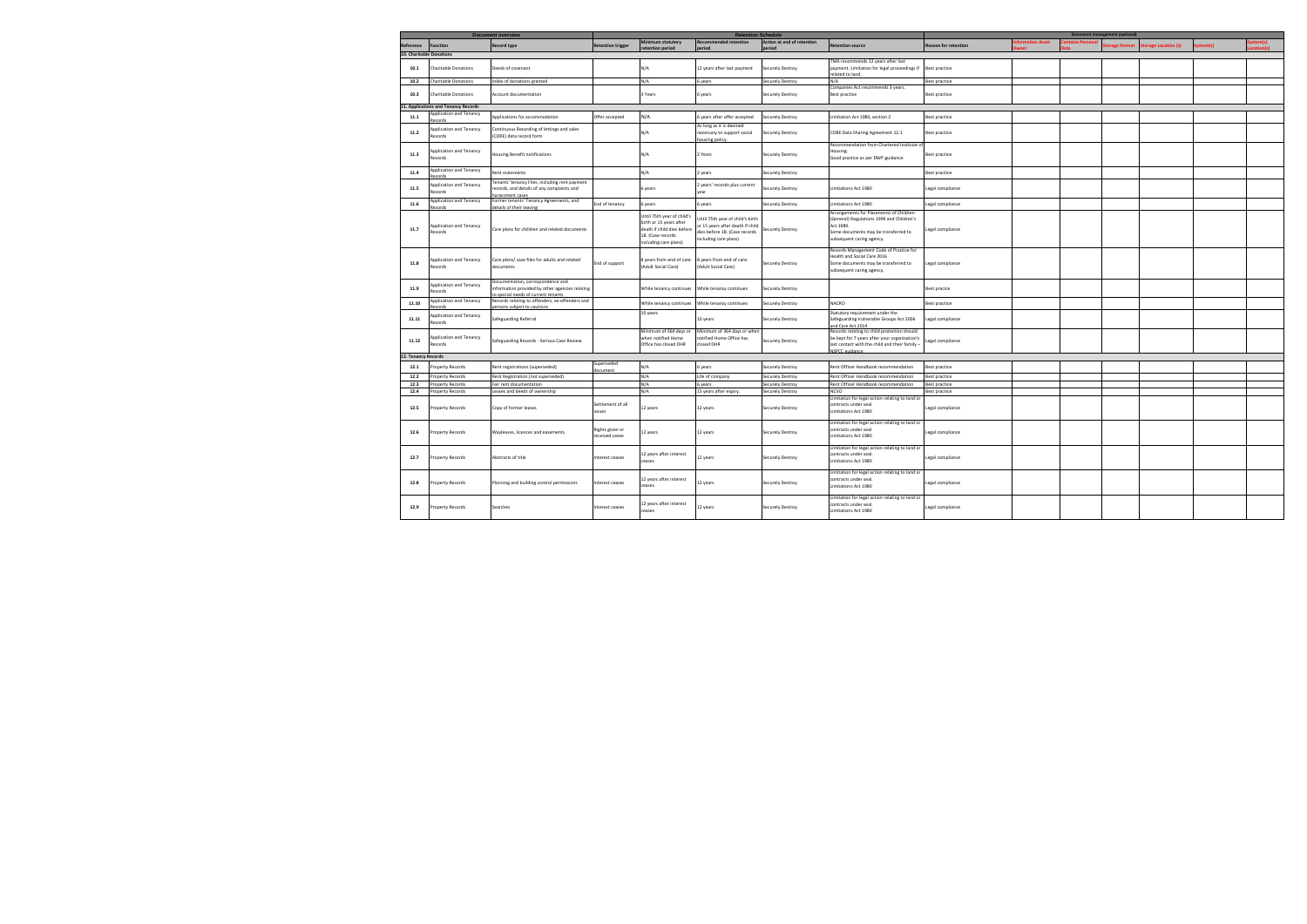|                          | <b>Document overview</b>             | <b>Retention Schedule</b>                       |                   |                                                     |                                 | <b>Document manage</b><br>ent (optional) |                                                 |                             |  |  |              |                     |  |  |
|--------------------------|--------------------------------------|-------------------------------------------------|-------------------|-----------------------------------------------------|---------------------------------|------------------------------------------|-------------------------------------------------|-----------------------------|--|--|--------------|---------------------|--|--|
|                          |                                      |                                                 |                   | <b>Minimum statutory</b>                            | ecommended retention            | Action at end of retention               |                                                 |                             |  |  |              |                     |  |  |
| Reference                | <b>Function</b>                      | <b>Record type</b>                              | etention trigger  |                                                     |                                 |                                          | Retention source                                | <b>Reason for retention</b> |  |  | orage Format | torage Location (s) |  |  |
| 10. Charitable Donations |                                      |                                                 |                   |                                                     |                                 |                                          |                                                 |                             |  |  |              |                     |  |  |
|                          |                                      |                                                 |                   |                                                     |                                 |                                          | MA recommends 12 years after last               |                             |  |  |              |                     |  |  |
| 10.1                     | <b>Charitable Donations</b>          | Deeds of covenant                               |                   | N/A                                                 | 12 years after last payment     | Securely Destroy                         | payment. Limitation for legal proceedings if    | Best practice               |  |  |              |                     |  |  |
|                          |                                      |                                                 |                   |                                                     |                                 |                                          | hnel ot hetele                                  |                             |  |  |              |                     |  |  |
| 10.2                     | Charitable Donations                 | Index of donations granted                      |                   | N/A                                                 | years                           |                                          | N/A                                             |                             |  |  |              |                     |  |  |
|                          |                                      |                                                 |                   |                                                     |                                 | <b>Securely Destroy</b>                  |                                                 | <b>Best practice</b>        |  |  |              |                     |  |  |
|                          |                                      |                                                 |                   |                                                     |                                 |                                          | Companies Act recommends 3 years.               |                             |  |  |              |                     |  |  |
| 10.3                     | <b>Charitable Donations</b>          | Account documentation                           |                   | 3 Years                                             | years                           | Securely Destroy                         | <b>Best practice</b>                            | Best practice               |  |  |              |                     |  |  |
|                          |                                      |                                                 |                   |                                                     |                                 |                                          |                                                 |                             |  |  |              |                     |  |  |
|                          | 11. Applications and Tenancy Records |                                                 |                   |                                                     |                                 |                                          |                                                 |                             |  |  |              |                     |  |  |
| 11.1                     | pplication and Tenancy               | Applications for accommodation                  | Offer accepted    | N/A                                                 | years after offer accepted      | Securely Destroy                         | imitation Act 1980, section 2                   | Best practice               |  |  |              |                     |  |  |
|                          | cords                                |                                                 |                   |                                                     |                                 |                                          |                                                 |                             |  |  |              |                     |  |  |
|                          | Application and Tenancy              | Continuous Recording of lettings and sales      |                   |                                                     | As long as it is deemed         |                                          |                                                 |                             |  |  |              |                     |  |  |
| 11.2                     | tecords                              | (CORE) data record form                         |                   | N/A                                                 | necessary to support social     | Securely Destroy                         | CORE Data Sharing Agreement 12.1                | Best practice               |  |  |              |                     |  |  |
|                          |                                      |                                                 |                   |                                                     | ousing policy                   |                                          |                                                 |                             |  |  |              |                     |  |  |
|                          |                                      |                                                 |                   |                                                     |                                 |                                          | Recommendation from Chartered Institute o       |                             |  |  |              |                     |  |  |
|                          | Application and Tenancy              |                                                 |                   | N/A                                                 |                                 |                                          | Housing.                                        |                             |  |  |              |                     |  |  |
| 11.3                     | Records                              | Housing Benefit notifications                   |                   |                                                     | 2 Years                         | Securely Destroy                         | Good practice as per DWP guidance               | Best practice               |  |  |              |                     |  |  |
|                          |                                      |                                                 |                   |                                                     |                                 |                                          |                                                 |                             |  |  |              |                     |  |  |
|                          | Application and Tenancy              |                                                 |                   |                                                     |                                 |                                          |                                                 |                             |  |  |              |                     |  |  |
| 11.4                     | cords                                | Rent statements                                 |                   | N/A                                                 | years                           | Securely Destroy                         |                                                 | Best practice               |  |  |              |                     |  |  |
|                          |                                      | 'enants' tenancy Files, including rent payment  |                   |                                                     |                                 |                                          |                                                 |                             |  |  |              |                     |  |  |
| 11.5                     | pplication and Tenancy               | ecords, and details of any complaints and       |                   | 6 years                                             | years' records plus current     | Securely Destroy                         | Limitations Act 1980                            | Legal compliance            |  |  |              |                     |  |  |
|                          | ecords                               | arassment cases                                 |                   |                                                     |                                 |                                          |                                                 |                             |  |  |              |                     |  |  |
|                          | pplication and Tenancy               | Former tenants' Tenancy Agreements, and         |                   |                                                     |                                 |                                          |                                                 |                             |  |  |              |                     |  |  |
| 11.6                     | cords                                | etails of their leaving                         | End of tenancy    | 6 years                                             | years                           | <b>Securely Destroy</b>                  | imitations Act 1980                             | egal compliance             |  |  |              |                     |  |  |
|                          |                                      |                                                 |                   |                                                     |                                 |                                          | Arrangements for Placements of Children         |                             |  |  |              |                     |  |  |
|                          |                                      |                                                 |                   | Until 75th year of child's                          | ntil 75th year of child's birth |                                          | General) Regulations 1999 and Children's        |                             |  |  |              |                     |  |  |
|                          | Application and Tenancy              |                                                 |                   | birth or 15 years after                             | r 15 years after death if child |                                          | Act 1989.                                       |                             |  |  |              |                     |  |  |
| 11.7                     | Records                              | Care plans for children and related documents   |                   | death if child dies before                          | lies before 18. (Case records   | Securely Destroy                         | Some documents may be transferred to            | egal compliance             |  |  |              |                     |  |  |
|                          |                                      |                                                 |                   | 18. (Case records                                   | including care plans)           |                                          |                                                 |                             |  |  |              |                     |  |  |
|                          |                                      |                                                 |                   | including care plans)                               |                                 |                                          | subsequent caring agency.                       |                             |  |  |              |                     |  |  |
|                          |                                      |                                                 |                   |                                                     |                                 |                                          |                                                 |                             |  |  |              |                     |  |  |
|                          |                                      |                                                 |                   |                                                     |                                 |                                          | Records Management Code of Practice for         |                             |  |  |              |                     |  |  |
|                          | Application and Tenancy              | Care plans/ case files for adults and related   |                   | 8 years from end of care. 8 years from end of care. |                                 |                                          | Health and Social Care 2016                     |                             |  |  |              |                     |  |  |
| 11.8                     | ecords                               | documents                                       | ind of support    | (Adult Social Care)                                 | (Adult Social Care)             | Securely Destroy                         | Some documents may be transferred to            | egal compliance             |  |  |              |                     |  |  |
|                          |                                      |                                                 |                   |                                                     |                                 |                                          | subsequent caring agency.                       |                             |  |  |              |                     |  |  |
|                          |                                      |                                                 |                   |                                                     |                                 |                                          |                                                 |                             |  |  |              |                     |  |  |
|                          | pplication and Tenancy               | Oocumentation, correspondence and               |                   |                                                     |                                 |                                          |                                                 |                             |  |  |              |                     |  |  |
| 11.9                     | tecords                              | nformation provided by other agencies relating  |                   | While tenancy continues  While tenancy continues    |                                 | Securely Destroy                         |                                                 | Best pracice                |  |  |              |                     |  |  |
|                          |                                      | special needs of current tenants                |                   |                                                     |                                 |                                          |                                                 |                             |  |  |              |                     |  |  |
| 11.10                    | Application and Tenancy              | Records relating to offenders, ex-offenders and |                   | While tenancy continues                             | While tenancy continues         | <b>Securely Destroy</b>                  | <b>NACRO</b>                                    | <b>Best practice</b>        |  |  |              |                     |  |  |
|                          | cords                                | ersons subject to cautions                      |                   |                                                     |                                 |                                          |                                                 |                             |  |  |              |                     |  |  |
|                          | pplication and Tenancy               |                                                 |                   | 10 years                                            |                                 |                                          | Statutory requirement under the                 |                             |  |  |              |                     |  |  |
| 11.11                    |                                      | Safeguarding Referral                           |                   |                                                     | 10 years                        | Securely Destroy                         | Safeguarding Vulnerable Groups Act 2006         | Legal compliance            |  |  |              |                     |  |  |
|                          | ecords                               |                                                 |                   |                                                     |                                 |                                          | nd Care Act 2014                                |                             |  |  |              |                     |  |  |
|                          |                                      |                                                 |                   | Minimum of 364 days or                              | Minimum of 364 days or wher     |                                          | Records relating to child protection should     |                             |  |  |              |                     |  |  |
| 11.12                    | spplication and Tenancy              |                                                 |                   | when notified Home                                  | otified Home Office has         |                                          | be kept for 7 years after your organisation's   |                             |  |  |              |                     |  |  |
|                          | ecords                               | Safeguarding Records - Serious Case Review      |                   | Office has closed DHR                               | losed DHR                       | Securely Destroy                         | last contact with the child and their family -  | Legal compliance            |  |  |              |                     |  |  |
|                          |                                      |                                                 |                   |                                                     |                                 |                                          | NSPCC guidance                                  |                             |  |  |              |                     |  |  |
| 12. Tenancy Records      |                                      |                                                 |                   |                                                     |                                 |                                          |                                                 |                             |  |  |              |                     |  |  |
|                          |                                      |                                                 | Superseded        |                                                     |                                 |                                          |                                                 |                             |  |  |              |                     |  |  |
| 12.1                     | roperty Records                      | Rent registrations (superseded)                 | ument             | N/A                                                 | 6 years                         | <b>Securely Destroy</b>                  | Rent Officer Handbook recommendation            | Best practice               |  |  |              |                     |  |  |
| 12.2                     | roperty Records                      | Rent Registration (not superseded)              |                   | N/A                                                 | Life of company                 | Securely Destroy                         | Rent Officer Handbook recommendation            | <b>Best practice</b>        |  |  |              |                     |  |  |
|                          |                                      |                                                 |                   | N/A                                                 |                                 |                                          |                                                 |                             |  |  |              |                     |  |  |
| 12.3                     | roperty Records                      | Fair rent documentation                         |                   |                                                     | years                           | Securely Destroy                         | Rent Officer Handbook recommendation            | Best practice               |  |  |              |                     |  |  |
| 12.4                     | roperty Records                      | Leases and deeds of ownership                   |                   | N/A                                                 | 15 years after expiry.          | <b>Securely Destroy</b>                  | <b>NCVO</b>                                     | Best practice               |  |  |              |                     |  |  |
|                          |                                      |                                                 |                   |                                                     |                                 |                                          | imitation for legal action relating to land or  |                             |  |  |              |                     |  |  |
| 12.5                     | roperty Records                      | Copy of former leases                           | Settlement of all | 12 years                                            | 12 years                        | Securely Destroy                         | contracts under seal.                           | egal compliance             |  |  |              |                     |  |  |
|                          |                                      |                                                 | zeuzz             |                                                     |                                 |                                          | imitations Act 1980                             |                             |  |  |              |                     |  |  |
|                          |                                      |                                                 |                   |                                                     |                                 |                                          |                                                 |                             |  |  |              |                     |  |  |
|                          |                                      |                                                 |                   |                                                     |                                 |                                          | Limitation for legal action relating to land or |                             |  |  |              |                     |  |  |
|                          |                                      |                                                 | ights given or    |                                                     |                                 |                                          | ontracts under seal.                            |                             |  |  |              |                     |  |  |
| 12.6                     | Property Records                     | Wayleaves, licences and easements               | eceived cease     | 12 years                                            | 12 years                        | Securely Destroy                         | imitations Act 1980                             | egal compliance             |  |  |              |                     |  |  |
|                          |                                      |                                                 |                   |                                                     |                                 |                                          |                                                 |                             |  |  |              |                     |  |  |
|                          |                                      |                                                 |                   |                                                     |                                 |                                          | imitation for legal action relating to land or  |                             |  |  |              |                     |  |  |
|                          |                                      |                                                 |                   | 12 years after interest                             |                                 |                                          | contracts under seal.                           |                             |  |  |              |                     |  |  |
| 12.7                     | Property Records                     | Abstracts of title                              | nterest ceases    | ceases                                              | 12 years                        | <b>Securely Destroy</b>                  | imitations Act 1980                             | Legal compliance            |  |  |              |                     |  |  |
|                          |                                      |                                                 |                   |                                                     |                                 |                                          |                                                 |                             |  |  |              |                     |  |  |
|                          |                                      |                                                 |                   |                                                     |                                 |                                          | imitation for legal action relating to land or  |                             |  |  |              |                     |  |  |
|                          |                                      |                                                 |                   | 12 years after interest                             |                                 |                                          | ontracts under seal.                            |                             |  |  |              |                     |  |  |
| 12.8                     | Property Records                     | Planning and building control permissions       | nterest ceases    | ceases                                              | 12 years                        | Securely Destroy                         | imitations Act 1980                             | Legal compliance            |  |  |              |                     |  |  |
|                          |                                      |                                                 |                   |                                                     |                                 |                                          |                                                 |                             |  |  |              |                     |  |  |
|                          |                                      |                                                 |                   |                                                     |                                 |                                          | Limitation for legal action relating to land or |                             |  |  |              |                     |  |  |
|                          |                                      |                                                 |                   | 12 years after interest                             |                                 |                                          | contracts under seal.                           |                             |  |  |              |                     |  |  |
| 12.9                     | Property Records                     | Searches                                        | nterest ceases    | ceases                                              | 12 years                        | <b>Securely Destroy</b>                  | Limitations Act 1980                            | Legal compliance            |  |  |              |                     |  |  |
|                          |                                      |                                                 |                   |                                                     |                                 |                                          |                                                 |                             |  |  |              |                     |  |  |
|                          |                                      |                                                 |                   |                                                     |                                 |                                          |                                                 |                             |  |  |              |                     |  |  |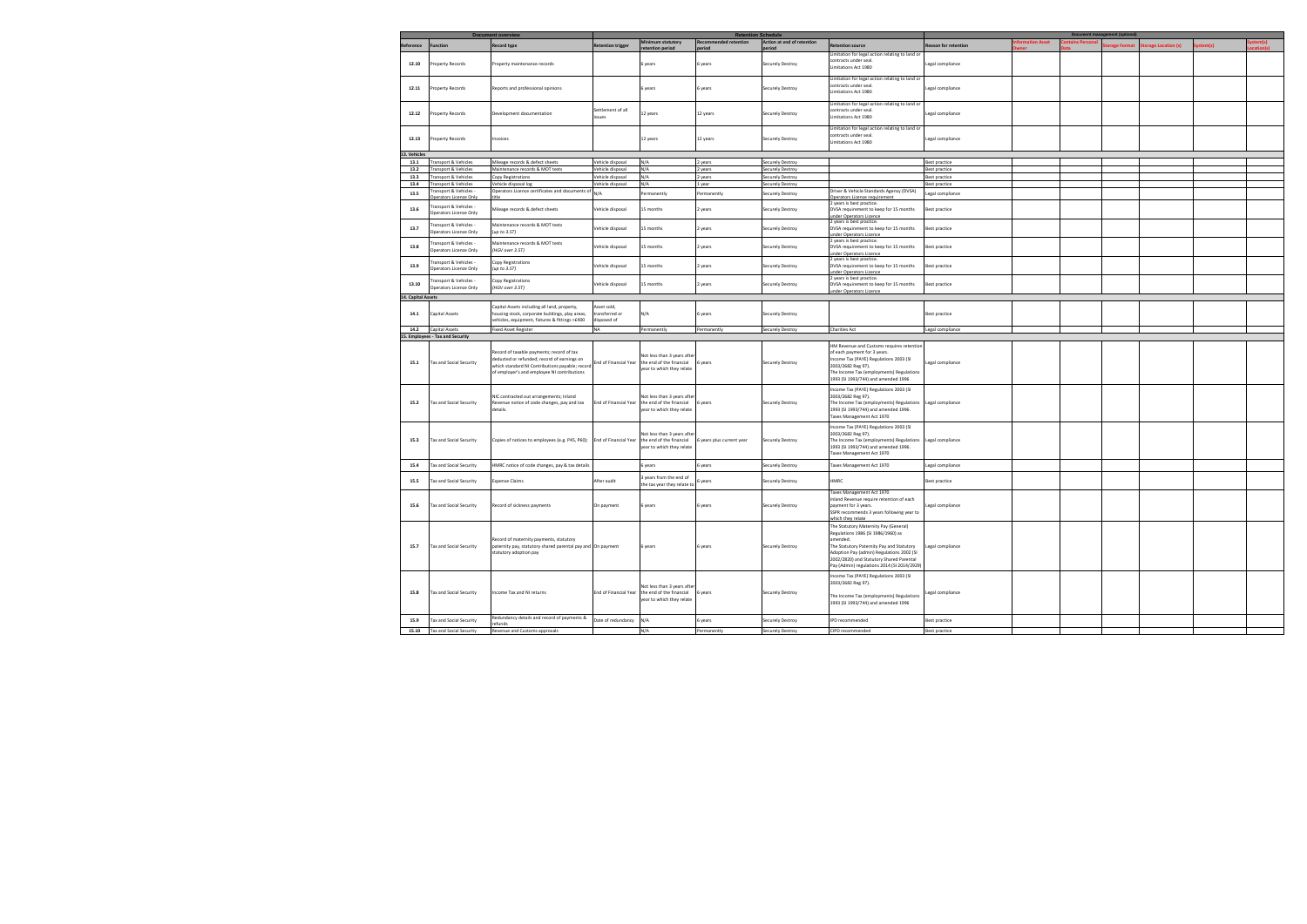|                    |                                                                   | <b>Document overview</b>                                                                                                                                                                   |                                             |                                                                                      | <b>Retention Schedule</b> |                            |                                                                                                                                                                                                                                                                             |                             |              | <b>Document management (optional)</b> |                     |        |  |
|--------------------|-------------------------------------------------------------------|--------------------------------------------------------------------------------------------------------------------------------------------------------------------------------------------|---------------------------------------------|--------------------------------------------------------------------------------------|---------------------------|----------------------------|-----------------------------------------------------------------------------------------------------------------------------------------------------------------------------------------------------------------------------------------------------------------------------|-----------------------------|--------------|---------------------------------------|---------------------|--------|--|
| Reference          | <b>Function</b>                                                   | <b>Record type</b>                                                                                                                                                                         | <b>Retention trigger</b>                    | Minimum statutory                                                                    | ecommended retention      | Action at end of retention | letention source                                                                                                                                                                                                                                                            | <b>Reason for retention</b> | ains Persona | torage Format                         | torage Location (s) | tem(s) |  |
|                    |                                                                   |                                                                                                                                                                                            |                                             |                                                                                      |                           |                            |                                                                                                                                                                                                                                                                             |                             |              |                                       |                     |        |  |
| 12.10              | Property Records                                                  | Property maintenance records                                                                                                                                                               |                                             | 5 years                                                                              | 6 years                   | <b>Securely Destroy</b>    | imitation for legal action relating to land or<br>contracts under seal.<br>imitations Act 1980                                                                                                                                                                              | Legal compliance            |              |                                       |                     |        |  |
|                    |                                                                   |                                                                                                                                                                                            |                                             |                                                                                      |                           |                            |                                                                                                                                                                                                                                                                             |                             |              |                                       |                     |        |  |
| 12.11              | Property Records                                                  | Reports and professional opinions                                                                                                                                                          |                                             | 5 years                                                                              | 6 years                   | Securely Destroy           | imitation for legal action relating to land or<br>ontracts under seal.<br>imitations Act 1980                                                                                                                                                                               | Legal compliance            |              |                                       |                     |        |  |
|                    |                                                                   |                                                                                                                                                                                            |                                             |                                                                                      |                           |                            | imitation for legal action relating to land or                                                                                                                                                                                                                              |                             |              |                                       |                     |        |  |
| 12.12              | Property Records                                                  | Development documentation                                                                                                                                                                  | Settlement of all<br>ssues                  | 12 years                                                                             | 12 years                  | <b>Securely Destroy</b>    | contracts under seal.<br>imitations Act 1980                                                                                                                                                                                                                                | Legal compliance            |              |                                       |                     |        |  |
| 12.13              | roperty Records                                                   | nvoices                                                                                                                                                                                    |                                             | 12 years                                                                             | 12 years                  | <b>Securely Destroy</b>    | imitation for legal action relating to land or<br>ontracts under seal<br>imitations Act 1980                                                                                                                                                                                | Legal compliance            |              |                                       |                     |        |  |
|                    |                                                                   |                                                                                                                                                                                            |                                             |                                                                                      |                           |                            |                                                                                                                                                                                                                                                                             |                             |              |                                       |                     |        |  |
| 13. Vehicles       |                                                                   |                                                                                                                                                                                            |                                             |                                                                                      |                           |                            |                                                                                                                                                                                                                                                                             |                             |              |                                       |                     |        |  |
| 13.1               | ransport & Vehicles                                               | Mileage records & defect sheets                                                                                                                                                            | ehicle disposal                             | N/A                                                                                  | 2 years                   | Securely Destroy           |                                                                                                                                                                                                                                                                             | Best practice               |              |                                       |                     |        |  |
| 13.2               | ansport & Vehicles                                                | Maintenance records & MOT tests                                                                                                                                                            | ehicle disposal                             | N/A                                                                                  | 2 years                   | Securely Destroy           |                                                                                                                                                                                                                                                                             | Best practice               |              |                                       |                     |        |  |
| 13.3               | ansport & Vehicles                                                | Copy Registrations                                                                                                                                                                         | ehicle disposal                             | N/A                                                                                  | 2 years                   | Securely Destroy           |                                                                                                                                                                                                                                                                             | <b>Best practice</b>        |              |                                       |                     |        |  |
| 13.4               |                                                                   | /ehicle disposal log                                                                                                                                                                       | ehicle disposal                             | N/A                                                                                  |                           | Securely Destroy           |                                                                                                                                                                                                                                                                             |                             |              |                                       |                     |        |  |
|                    | ansport & Vehicles                                                | Operators Licence certificates and documents of                                                                                                                                            |                                             |                                                                                      | year                      |                            | Driver & Vehicle Standards Agency (DVSA)                                                                                                                                                                                                                                    | Best practice               |              |                                       |                     |        |  |
| 13.5               | ansport & Vehicles<br>erators Licence Only<br>ransport & Vehicles |                                                                                                                                                                                            | N/A                                         | Permanently                                                                          | ermanently                | Securely Destroy           | perators Licence requirement<br>2 years is best practice.                                                                                                                                                                                                                   | egal compliance             |              |                                       |                     |        |  |
| 13.6               | Operators Licence Only                                            | Mileage records & defect sheets                                                                                                                                                            | Vehicle disposal                            | 15 months                                                                            | 2 years                   | <b>Securely Destroy</b>    | DVSA requirement to keep for 15 months<br>inder Operators Licence<br>2 years is best practice.                                                                                                                                                                              | Best practice               |              |                                       |                     |        |  |
| 13.7               | ransport & Vehicles<br>Operators Licence Only                     | Maintenance records & MOT tests<br>(up to 3.5T)                                                                                                                                            | ehicle disposal                             | 15 months                                                                            | 2 years                   | <b>Securely Destroy</b>    | DVSA requirement to keep for 15 months<br>nder Operators Licence                                                                                                                                                                                                            | Best practice               |              |                                       |                     |        |  |
| 13.8               | ansport & Vehicles -<br>Operators Licence Only                    | Maintenance records & MOT tests<br>(HGV over 3.5T)                                                                                                                                         | ehicle disposal                             | 15 months                                                                            | 2 years                   | Securely Destroy           | years is best practice.<br>DVSA requirement to keep for 15 months<br>nder Operators Licence                                                                                                                                                                                 | Best practice               |              |                                       |                     |        |  |
| 13.9               | ransport & Vehicles<br>Operators Licence Only                     | Copy Registrations<br>(up to 3.5T)                                                                                                                                                         | ehicle disposal                             | 15 months                                                                            | 2 years                   | Securely Destroy           | 2 years is best practice.<br>DVSA requirement to keep for 15 months<br>nder Operators Licence                                                                                                                                                                               | Best practice               |              |                                       |                     |        |  |
| 13.10              | ransport & Vehicles<br>Operators Licence Only                     | Copy Registrations<br>(HGV over 3.5T)                                                                                                                                                      | /ehicle disposal                            | 15 months                                                                            | 2 years                   | <b>Securely Destroy</b>    | 2 years is best practice.<br>DVSA requirement to keep for 15 months                                                                                                                                                                                                         | Best practice               |              |                                       |                     |        |  |
| 14. Capital Assets |                                                                   |                                                                                                                                                                                            |                                             |                                                                                      |                           |                            | nder Operators Licence                                                                                                                                                                                                                                                      |                             |              |                                       |                     |        |  |
|                    |                                                                   |                                                                                                                                                                                            |                                             |                                                                                      |                           |                            |                                                                                                                                                                                                                                                                             |                             |              |                                       |                     |        |  |
| 14.1               | Capital Assets                                                    | Capital Assets including all land, property,<br>housing stock, corporate buildings, play areas,<br>vehicles, equipment, fixtures & fittings >£400                                          | sset sold,<br>transferred or<br>disposed of | N/A                                                                                  | 6 years                   | <b>Securely Destroy</b>    |                                                                                                                                                                                                                                                                             | Best practice               |              |                                       |                     |        |  |
|                    |                                                                   |                                                                                                                                                                                            |                                             |                                                                                      |                           |                            |                                                                                                                                                                                                                                                                             |                             |              |                                       |                     |        |  |
| 14.2               | Capital Assets                                                    | <b>Fixed Asset Register</b>                                                                                                                                                                | <b>NA</b>                                   | Permanently                                                                          | Permanently               | <b>Securely Destroy</b>    | <b>Charities Act</b>                                                                                                                                                                                                                                                        | Legal compliance            |              |                                       |                     |        |  |
|                    | 15. Employees - Tax and Security                                  |                                                                                                                                                                                            |                                             |                                                                                      |                           |                            |                                                                                                                                                                                                                                                                             |                             |              |                                       |                     |        |  |
| 15.1               | <b>Tax and Social Security</b>                                    | Record of taxable payments; record of tax<br>deducted or refunded; record of earnings on<br>which standard NI Contributions payable; record<br>of employer's and employee NI contributions | Ind of Financial Year                       | Not less than 3 years after<br>the end of the financial<br>year to which they relate | years                     | Securely Destroy           | HM Revenue and Customs requires retentior<br>of each payment for 3 years.<br>Income Tax (PAYE) Regulations 2003 (SI<br>2003/2682 Reg 97).<br>The Income Tax (employments) Regulations<br>1993 (SI 1993/744) and amended 1996                                                | egal compliance             |              |                                       |                     |        |  |
| 15.2               | Tax and Social Security                                           | NIC contracted out arrangements; Inland<br>Revenue notice of code changes, pay and tax<br>details.                                                                                         | Ind of Financial Year                       | Not less than 3 years after<br>the end of the financial<br>year to which they relate | i years                   | <b>Securely Destroy</b>    | ncome Tax (PAYE) Regulations 2003 (SI<br>2003/2682 Reg 97).<br>The Income Tax (employments) Regulations<br>1993 (SI 1993/744) and amended 1996.<br>axes Management Act 1970                                                                                                 | Legal compliance            |              |                                       |                     |        |  |
| 15.3               | Tax and Social Security                                           | Copies of notices to employees (e.g. P45, P60);                                                                                                                                            | End of Financial Year                       | Not less than 3 years after<br>the end of the financial<br>year to which they relate | years plus current year   | Securely Destroy           | ncome Tax (PAYE) Regulations 2003 (SI<br>2003/2682 Reg 97).<br>The Income Tax (employments) Regulations<br>1993 (SI 1993/744) and amended 1996.<br>axes Management Act 1970                                                                                                 | Legal compliance            |              |                                       |                     |        |  |
| 15.4               | Tax and Social Security                                           | HMRC notice of code changes, pay & tax details                                                                                                                                             |                                             | 5 years                                                                              | years                     | <b>Securely Destroy</b>    | axes Management Act 1970                                                                                                                                                                                                                                                    | Legal compliance            |              |                                       |                     |        |  |
| 15.5               | Tax and Social Security                                           | <b>Expense Claims</b>                                                                                                                                                                      | After audit                                 | 3 years from the end of<br>the tax year they relate to                               | years                     | <b>Securely Destroy</b>    | HMRC                                                                                                                                                                                                                                                                        | Best practice               |              |                                       |                     |        |  |
| 15.6               | <b>Tax and Social Security</b>                                    | Record of sickness payments                                                                                                                                                                | On payment                                  | i years                                                                              | 6 years                   | <b>Securely Destroy</b>    | Taxes Management Act 1970<br>Inland Revenue require retention of each<br>ayment for 3 years.<br>SSPR recommends 3 years following year to<br>which they relate                                                                                                              | Legal compliance            |              |                                       |                     |        |  |
| 15.7               | Tax and Social Security                                           | Record of maternity payments, statutory<br>paternity pay, statutory shared parental pay and On payment<br>statutory adoption pay                                                           |                                             | 6 years                                                                              | 6 years                   | <b>Securely Destroy</b>    | The Statutory Maternity Pay (General)<br>Regulations 1986 (SI 1986/1960) as<br>mended.<br>The Statutory Paternity Pay and Statutory<br>Adoption Pay (admin) Regulations 2002 (SI<br>2002/2820) and Statutory Shared Parental<br>Pay (Admin) regulations 2014 (SI 2014/2929) | Legal compliance            |              |                                       |                     |        |  |
| 15.8               | <b>Tax and Social Security</b>                                    | Income Tax and NI returns                                                                                                                                                                  | End of Financial Year                       | Not less than 3 years after<br>the end of the financial<br>year to which they relate | years                     | <b>Securely Destroy</b>    | Income Tax (PAYE) Regulations 2003 (SI<br>2003/2682 Reg 97).<br>The Income Tax (employments) Regulations<br>1993 (SI 1993/744) and amended 1996                                                                                                                             | Legal compliance            |              |                                       |                     |        |  |
| 15.9               | <b>Tax and Social Security</b>                                    | Redundancy details and record of payments &                                                                                                                                                | Date of redundancy                          | N/A                                                                                  | 6 years                   | Securely Destroy           | IPD recommended                                                                                                                                                                                                                                                             | Best practice               |              |                                       |                     |        |  |
| 15.10              | Tax and Social Security                                           | Revenue and Customs approvals                                                                                                                                                              |                                             | N/A                                                                                  | Permanently               | <b>Securely Destroy</b>    | CIPD recommended                                                                                                                                                                                                                                                            | Best practice               |              |                                       |                     |        |  |
|                    |                                                                   |                                                                                                                                                                                            |                                             |                                                                                      |                           |                            |                                                                                                                                                                                                                                                                             |                             |              |                                       |                     |        |  |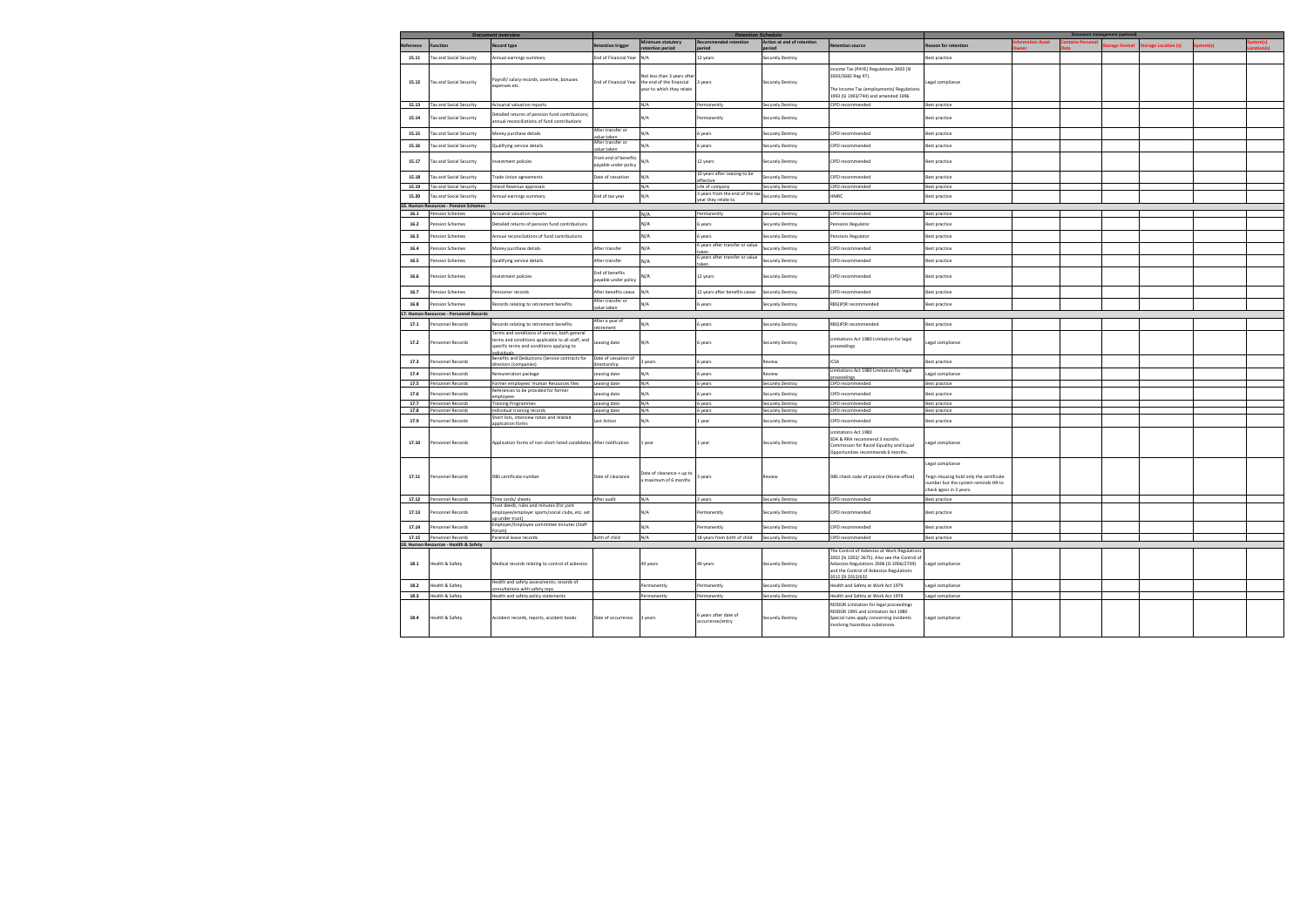|           |                                         | <b>Document overview</b>                                                       |                                 |                             | <b>Retention Schedule</b>       |                            |                                                                                             |                                         |  | Document management (optional) |                     |        |  |
|-----------|-----------------------------------------|--------------------------------------------------------------------------------|---------------------------------|-----------------------------|---------------------------------|----------------------------|---------------------------------------------------------------------------------------------|-----------------------------------------|--|--------------------------------|---------------------|--------|--|
| Reference | <b>Function</b>                         | <b>Record type</b>                                                             | Retention trigger               | <b>Ainimum statutory</b>    | ecommended retention            | Action at end of retention | <b>Retention source</b>                                                                     | <b>Reason for retention</b>             |  | orage Format                   | torage Location (s) | :em(s) |  |
|           |                                         |                                                                                |                                 |                             |                                 |                            |                                                                                             |                                         |  |                                |                     |        |  |
| 15.11     | <b>Tax and Social Security</b>          | Annual earnings summary                                                        | Ind of Financial Year           | N/A                         | 12 years                        | Securely Destroy           |                                                                                             | Best practice                           |  |                                |                     |        |  |
|           |                                         |                                                                                |                                 |                             |                                 |                            | ncome Tax (PAYE) Regulations 2003 (SI                                                       |                                         |  |                                |                     |        |  |
|           |                                         | Payroll/ salary records, overtime, bonuses                                     |                                 | Not less than 3 years after |                                 |                            | 2003/2682 Reg 97).                                                                          |                                         |  |                                |                     |        |  |
| 15.12     | <b>Tax and Social Security</b>          | expenses etc.                                                                  | nd of Financial Year            | the end of the financial    | 3 years                         | <b>Securely Destroy</b>    |                                                                                             | egal compliance                         |  |                                |                     |        |  |
|           |                                         |                                                                                |                                 | year to which they relate   |                                 |                            | he Income Tax (employments) Regulations                                                     |                                         |  |                                |                     |        |  |
|           |                                         |                                                                                |                                 |                             |                                 |                            | 1993 (SI 1993/744) and amended 1996                                                         |                                         |  |                                |                     |        |  |
| 15.13     | <b>Tax and Social Security</b>          | Actuarial valuation reports                                                    |                                 | N/A                         | ermanently                      | <b>Securely Destroy</b>    | CIPD recommended                                                                            | <b>Best practice</b>                    |  |                                |                     |        |  |
| 15.14     | <b>Tax and Social Security</b>          | Detailed returns of pension fund contributions;                                |                                 | N/A                         | ermanently                      | <b>Securely Destroy</b>    |                                                                                             | Best practice                           |  |                                |                     |        |  |
|           |                                         | annual reconciliations of fund contributions                                   |                                 |                             |                                 |                            |                                                                                             |                                         |  |                                |                     |        |  |
| 15.15     | <b>Tax and Social Security</b>          | Money purchase details                                                         | After transfer or               | N/A                         | years                           | <b>Securely Destroy</b>    | CIPD recommended                                                                            | Best practice                           |  |                                |                     |        |  |
|           |                                         |                                                                                | alue taken<br>After transfer or |                             |                                 |                            |                                                                                             |                                         |  |                                |                     |        |  |
| 15.16     | <b>Tax and Social Security</b>          | Qualifying service details                                                     | alue taken                      | N/A                         | 6 years                         | <b>Securely Destroy</b>    | CIPD recommended                                                                            | Best practice                           |  |                                |                     |        |  |
|           |                                         |                                                                                | rom end of benefits             |                             |                                 |                            |                                                                                             |                                         |  |                                |                     |        |  |
| 15.17     | ax and Social Security                  | nvestment policies                                                             | bayable under policy            | N/A                         | 12 years                        | Securely Destroy           | CIPD recommended                                                                            | Best practice                           |  |                                |                     |        |  |
|           |                                         |                                                                                |                                 |                             | 10 years after ceasing to be    |                            |                                                                                             |                                         |  |                                |                     |        |  |
| 15.18     | ax and Social Security                  | rade Union agreements                                                          | Date of cessation               | N/A                         | fective                         | iecurely Destroy           | CIPD recommended                                                                            | Best practice                           |  |                                |                     |        |  |
| 15.19     | Tax and Social Security                 | Inland Revenue approvals                                                       |                                 | N/A                         | Life of company                 | Securely Destroy           | <b>CIPD recommended</b>                                                                     | Best practice                           |  |                                |                     |        |  |
| 15.20     | Tax and Social Security                 | Annual earnings summary                                                        | End of tax year                 | N/A                         | l years from the end of the tax | Securely Destroy           | HMRC                                                                                        | Best practice                           |  |                                |                     |        |  |
|           | 16. Human Resources - Pension Schemes   |                                                                                |                                 |                             | ear they relate to              |                            |                                                                                             |                                         |  |                                |                     |        |  |
| 16.1      | ension Schemes                          | Actuarial valuation reports                                                    |                                 | N/A                         | Permanently                     | Securely Destroy           | CIPD recommended                                                                            | Best practice                           |  |                                |                     |        |  |
|           |                                         |                                                                                |                                 |                             |                                 |                            |                                                                                             |                                         |  |                                |                     |        |  |
| 16.2      | ension Schemes                          | Detailed returns of pension fund contributions                                 |                                 | N/A                         | years                           | Securely Destroy           | ensions Regulator                                                                           | Best practice                           |  |                                |                     |        |  |
| 16.3      | ension Schemes                          | Annual reconciliations of fund contributions                                   |                                 | N/A                         | years                           | Securely Destroy           | Pensions Regulator                                                                          | Best practice                           |  |                                |                     |        |  |
|           |                                         |                                                                                |                                 |                             | years after transfer or value   |                            |                                                                                             |                                         |  |                                |                     |        |  |
| 16.4      | ension Schemes                          | Money purchase details                                                         | After transfer                  | N/A                         | ıker                            | Securely Destroy           | CIPD recommended                                                                            | <b>Best practice</b>                    |  |                                |                     |        |  |
| 16.5      | Pension Schemes                         | Qualifying service details                                                     | After transfer                  | N/A                         | years after transfer or value   | Securely Destroy           | CIPD recommended                                                                            | Best practice                           |  |                                |                     |        |  |
|           |                                         |                                                                                |                                 |                             | aken                            |                            |                                                                                             |                                         |  |                                |                     |        |  |
| 16.6      | ension Schemes                          | nvestment policies                                                             | ind of benefits                 | N/A                         | 12 years                        | <b>Securely Destroy</b>    | CIPD recommended                                                                            | Best practice                           |  |                                |                     |        |  |
|           |                                         |                                                                                | bayable under policy            |                             |                                 |                            |                                                                                             |                                         |  |                                |                     |        |  |
| 16.7      | Pension Schemes                         | ensioner records                                                               | After benefits cease            | N/A                         | 12 years after benefits cease   | <b>Securely Destroy</b>    | CIPD recommended                                                                            | <b>Best practice</b>                    |  |                                |                     |        |  |
|           |                                         |                                                                                | After transfer or               |                             |                                 |                            |                                                                                             |                                         |  |                                |                     |        |  |
| 16.8      | ension Schemes                          | Records relating to retirement benefits                                        | alue taken                      | N/A                         | years                           | Securely Destroy           | RBS(IP)R recommended                                                                        | Best practice                           |  |                                |                     |        |  |
|           | 17. Human Resources - Personnel Records |                                                                                |                                 |                             |                                 |                            |                                                                                             |                                         |  |                                |                     |        |  |
| 17.1      | Personnel Records                       | Records relating to retirement benefits                                        | After a year of                 | N/A                         | 6 years                         | Securely Destroy           | RBS(IP)R recommended                                                                        | <b>Best practice</b>                    |  |                                |                     |        |  |
|           |                                         | erms and conditions of service, both general                                   | tirement                        |                             |                                 |                            |                                                                                             |                                         |  |                                |                     |        |  |
|           |                                         | terms and conditions applicable to all staff, and                              |                                 |                             |                                 |                            | imitations Act 1980 Limitation for legal                                                    |                                         |  |                                |                     |        |  |
| 17.2      | Personnel Records                       | specific terms and conditions applying to                                      | Leaving date                    | N/A                         | 6 years                         | <b>Securely Destroy</b>    | proceedings                                                                                 | egal compliance                         |  |                                |                     |        |  |
|           |                                         | dividuals<br>Benefits and Deductions (Service contracts for                    | Date of cessation of            |                             |                                 |                            |                                                                                             |                                         |  |                                |                     |        |  |
| 17.3      | Personnel Records                       | rectors (companies                                                             | rectorshir                      | 3 years                     | i years                         | Review                     | <b>ICSA</b>                                                                                 | Best practice                           |  |                                |                     |        |  |
| 17.4      | Personnel Records                       | emuneration package                                                            | eaving date                     | N/A                         | years                           | Review                     | Limitations Act 1980 Limitation for legal                                                   | egal compliance                         |  |                                |                     |        |  |
|           |                                         |                                                                                |                                 |                             |                                 |                            | roceedings                                                                                  |                                         |  |                                |                     |        |  |
| 17.5      | Personnel Records                       | Former employees' Human Resources files<br>eferences to be provided for former | Leaving date                    | N/A                         | 6 years                         | Securely Destroy           | CIPD recommended                                                                            | <b>Best practice</b>                    |  |                                |                     |        |  |
| 17.6      | Personnel Records                       | mployees                                                                       | eaving date                     | N/A                         | years                           | Securely Destroy           | <b>CIPD recommended</b>                                                                     | Best practice                           |  |                                |                     |        |  |
| 17.7      | Personnel Records                       | <b>Training Programmes</b>                                                     | eaving date                     | N/A                         | 6 years                         | Securely Destroy           | CIPD recommended                                                                            | <b>Best practice</b>                    |  |                                |                     |        |  |
| 17.8      | Personnel Records                       | Individual training records                                                    | eaving date                     | N/A                         | vears                           | Securely Destroy           | <b>CIPD</b> recommended                                                                     | <b>Best practice</b>                    |  |                                |                     |        |  |
| 17.9      | Personnel Records                       | Short lists, interview notes and related                                       | ast Action                      | N/A                         | year                            | Securely Destroy           | CIPD recommended                                                                            | Best practice                           |  |                                |                     |        |  |
|           |                                         | oplication form                                                                |                                 |                             |                                 |                            |                                                                                             |                                         |  |                                |                     |        |  |
|           |                                         |                                                                                |                                 |                             |                                 |                            | imitations Act 1980                                                                         |                                         |  |                                |                     |        |  |
| 17.10     | Personnel Records                       | Application forms of non-short listed candidates After notification            |                                 | 1 year                      | 1 year                          | <b>Securely Destroy</b>    | SDA & RRA recommend 3 months<br>Commission for Racial Equality and Equal                    | egal compliance                         |  |                                |                     |        |  |
|           |                                         |                                                                                |                                 |                             |                                 |                            | Opportunities recommends 6 months.                                                          |                                         |  |                                |                     |        |  |
|           |                                         |                                                                                |                                 |                             |                                 |                            |                                                                                             |                                         |  |                                |                     |        |  |
|           |                                         |                                                                                |                                 |                             |                                 |                            |                                                                                             | egal compliance                         |  |                                |                     |        |  |
| 17.11     | Personnel Records                       | DBS certificate number                                                         | Date of clearance               | Date of clearance + up to   | years                           | Review                     | DBS check code of practice (Home office)                                                    | Teign Housing hold only the certificate |  |                                |                     |        |  |
|           |                                         |                                                                                |                                 | maximum of 6 months         |                                 |                            |                                                                                             | number but the system reminds HR to     |  |                                |                     |        |  |
|           |                                         |                                                                                |                                 |                             |                                 |                            |                                                                                             | heck again in 3 years:                  |  |                                |                     |        |  |
| 17.12     | Personnel Records                       | Time cards/ sheets                                                             | After audit                     | N/A                         | 2 years                         | <b>Securely Destroy</b>    | CIPD recommended                                                                            | <b>Best practice</b>                    |  |                                |                     |        |  |
|           |                                         | rust deeds, rules and minutes (for joint                                       |                                 |                             |                                 |                            |                                                                                             |                                         |  |                                |                     |        |  |
| 17.13     | <b>Personnel Records</b>                | employee/employer sports/social clubs, etc. set<br>up under trust)             |                                 | N/A                         | Permanently                     | Securely Destroy           | CIPD recommended                                                                            | <b>Best practice</b>                    |  |                                |                     |        |  |
|           |                                         | Employer/Employee committee minutes (Staff                                     |                                 |                             |                                 |                            |                                                                                             |                                         |  |                                |                     |        |  |
| 17.14     | Personnel Records                       | Forum)                                                                         |                                 | N/A                         | ermanently                      | Securely Destroy           | CIPD recommended                                                                            | <b>Best practice</b>                    |  |                                |                     |        |  |
|           | 17.15 Personnel Records                 | Parental leave records                                                         | Birth of child                  | N/A                         | 18 years from birth of child    | Securely Destroy           | CIPD recommended                                                                            | Best practice                           |  |                                |                     |        |  |
|           | 18. Human Resources - Health & Safety   |                                                                                |                                 |                             |                                 |                            |                                                                                             |                                         |  |                                |                     |        |  |
|           |                                         |                                                                                |                                 |                             |                                 |                            | The Control of Asbestos at Work Regulations<br>2002 (SI 2002/2675). Also see the Control of |                                         |  |                                |                     |        |  |
| 18.1      | Health & Safety                         | Medical records relating to control of asbestos                                |                                 | 40 years                    | 40 years                        | <b>Securely Destroy</b>    | Asbestos Regulations 2006 (SI 2006/2739)                                                    | Legal compliance                        |  |                                |                     |        |  |
|           |                                         |                                                                                |                                 |                             |                                 |                            | and the Control of Asbestos Regulations                                                     |                                         |  |                                |                     |        |  |
|           |                                         | Health and safety assessments; records of                                      |                                 |                             |                                 |                            | 2012 (SI 2012/632                                                                           |                                         |  |                                |                     |        |  |
| 18.2      | Health & Safety                         | nsultations with safety reps                                                   |                                 | ermanently                  | ermanently                      | Securely Destroy           | Health and Safety at Work Act 1979                                                          | egal compliance                         |  |                                |                     |        |  |
| 18.3      | Health & Safety                         | Health and safety policy statements                                            |                                 | Permanently                 | ermanently                      | Securely Destroy           | Health and Safety at Work Act 1979                                                          | Legal compliance                        |  |                                |                     |        |  |
|           |                                         |                                                                                |                                 |                             |                                 |                            | RIDDOR Limitation for legal proceedings                                                     |                                         |  |                                |                     |        |  |
|           |                                         |                                                                                |                                 |                             | 6 years after date of           |                            | RIDDOR 1995 and Limitation Act 1980                                                         |                                         |  |                                |                     |        |  |
| 18.4      | Health & Safety                         | Accident records, reports, accident books                                      | Date of occurrence              | 3 years                     | occurrence/entry                | Securely Destroy           | Special rules apply concerning incidents                                                    | Legal compliance                        |  |                                |                     |        |  |
|           |                                         |                                                                                |                                 |                             |                                 |                            | nvolving hazardous substances.                                                              |                                         |  |                                |                     |        |  |
|           |                                         |                                                                                |                                 |                             |                                 |                            |                                                                                             |                                         |  |                                |                     |        |  |